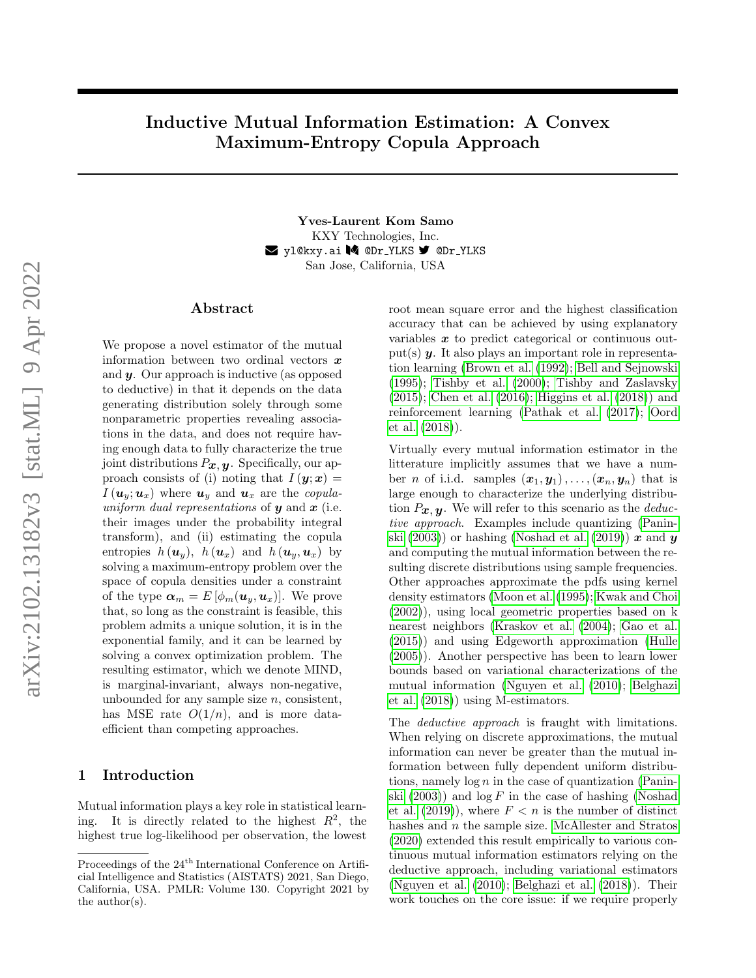# Inductive Mutual Information Estimation: A Convex Maximum-Entropy Copula Approach

Yves-Laurent Kom Samo KXY Technologies, Inc. **Z** yl@kxy.ai M @Dr\_YLKS **9** @Dr\_YLKS San Jose, California, USA

#### ${\rm Abstract}$

We propose a novel estimator of the mutual information between two ordinal vectors  $\boldsymbol{x}$ and  $\boldsymbol{y}$ . Our approach is inductive (as opposed to deductive) in that it depends on the data generating distribution solely through some nonparametric properties revealing associations in the data, and does not require having enough data to fully characterize the true joint distributions  $P_{\boldsymbol{x}, \boldsymbol{y}}$ . Specifically, our approach consists of (i) noting that  $I(\mathbf{y};\mathbf{x}) =$  $I(\boldsymbol{u}_y;\boldsymbol{u}_x)$  where  $\boldsymbol{u}_y$  and  $\boldsymbol{u}_x$  are the copulauniform dual representations of  $y$  and  $x$  (i.e. their images under the probability integral transform), and (ii) estimating the copula entropies  $h(\boldsymbol{u}_y)$ ,  $h(\boldsymbol{u}_x)$  and  $h(\boldsymbol{u}_y,\boldsymbol{u}_x)$  by solving a maximum-entropy problem over the space of copula densities under a constraint of the type  $\boldsymbol{\alpha}_m = E\left[\phi_m(\boldsymbol{u}_y,\boldsymbol{u}_x)\right]$ . We prove that, so long as the constraint is feasible, this problem admits a unique solution, it is in the exponential family, and it can be learned by solving a convex optimization problem. The resulting estimator, which we denote MIND, is marginal-invariant, always non-negative, unbounded for any sample size  $n$ , consistent, has MSE rate  $O(1/n)$ , and is more dataefficient than competing approaches.

# 1 Introduction

Mutual information plays a key role in statistical learning. It is directly related to the highest  $R^2$ , the highest true log-likelihood per observation, the lowest root mean square error and the highest classification accuracy that can be achieved by using explanatory variables  $x$  to predict categorical or continuous output(s)  $y$ . It also plays an important role in representation learning [\(Brown et al.](#page-9-0) [\(1992\)](#page-9-0); [Bell and Sejnowski](#page-9-1) [\(1995\)](#page-9-1); [Tishby et al.](#page-10-0) [\(2000\)](#page-10-0); [Tishby and Zaslavsky](#page-10-1) [\(2015\)](#page-10-1); [Chen et al.](#page-9-2) [\(2016\)](#page-9-2); [Higgins et al.](#page-9-3) [\(2018\)](#page-9-3)) and reinforcement learning [\(Pathak et al.](#page-10-2) [\(2017\)](#page-10-2); [Oord](#page-10-3) [et al.](#page-10-3) [\(2018\)](#page-10-3)).

Virtually every mutual information estimator in the litterature implicitly assumes that we have a number *n* of i.i.d. samples  $(x_1, y_1), \ldots, (x_n, y_n)$  that is large enough to characterize the underlying distribution  $P_{\boldsymbol{x}, \boldsymbol{y}}$ . We will refer to this scenario as the *deduc*tive approach. Examples include quantizing [\(Panin](#page-10-4)[ski](#page-10-4)  $(2003)$  or hashing [\(Noshad et al.](#page-10-5)  $(2019)$ ) x and y and computing the mutual information between the resulting discrete distributions using sample frequencies. Other approaches approximate the pdfs using kernel density estimators [\(Moon et al.](#page-9-4) [\(1995\)](#page-9-4); [Kwak and Choi](#page-9-5) [\(2002\)](#page-9-5)), using local geometric properties based on k nearest neighbors [\(Kraskov et al.](#page-9-6) [\(2004\)](#page-9-6); [Gao et al.](#page-9-7) [\(2015\)](#page-9-7)) and using Edgeworth approximation [\(Hulle](#page-9-8) [\(2005\)](#page-9-8)). Another perspective has been to learn lower bounds based on variational characterizations of the mutual information [\(Nguyen et al.](#page-10-6) [\(2010\)](#page-10-6); [Belghazi](#page-9-9) [et al.](#page-9-9) [\(2018\)](#page-9-9)) using M-estimators.

The *deductive approach* is fraught with limitations. When relying on discrete approximations, the mutual information can never be greater than the mutual information between fully dependent uniform distributions, namely  $\log n$  in the case of quantization [\(Panin](#page-10-4)[ski](#page-10-4)  $(2003)$  and  $\log F$  in the case of hashing [\(Noshad](#page-10-5) [et al.](#page-10-5)  $(2019)$ , where  $F < n$  is the number of distinct hashes and  $n$  the sample size. [McAllester and Stratos](#page-9-10) [\(2020\)](#page-9-10) extended this result empirically to various continuous mutual information estimators relying on the deductive approach, including variational estimators [\(Nguyen et al.](#page-10-6) [\(2010\)](#page-10-6); [Belghazi et al.](#page-9-9) [\(2018\)](#page-9-9)). Their work touches on the core issue: if we require properly

Proceedings of the 24<sup>th</sup> International Conference on Artificial Intelligence and Statistics (AISTATS) 2021, San Diego, California, USA. PMLR: Volume 130. Copyright 2021 by the author(s).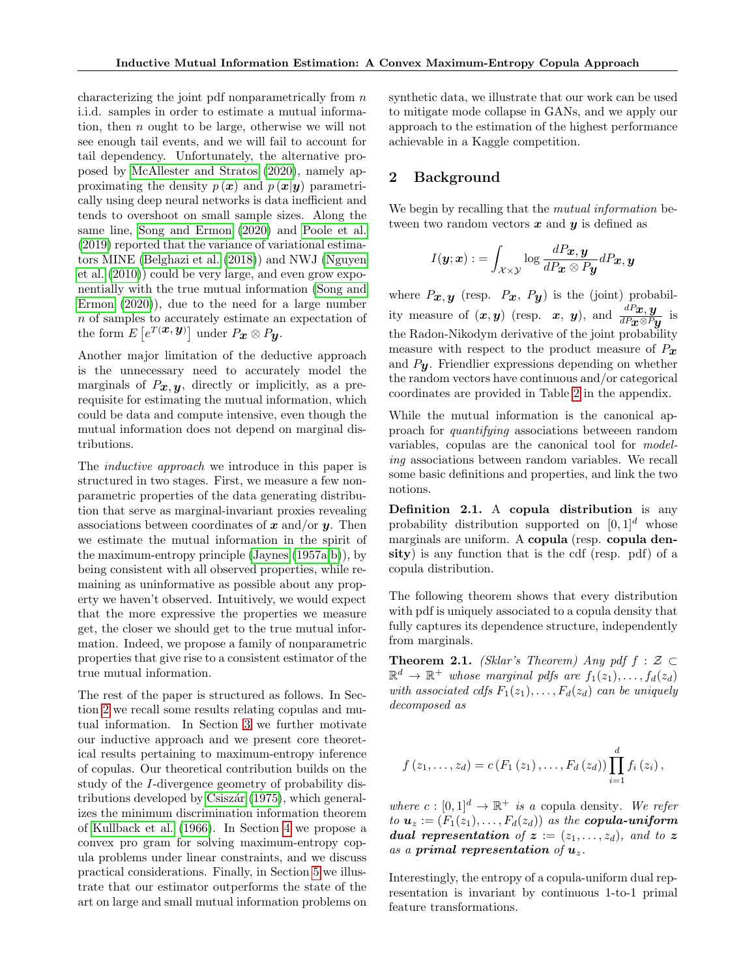characterizing the joint pdf nonparametrically from  $n$ i.i.d. samples in order to estimate a mutual information, then n ought to be large, otherwise we will not see enough tail events, and we will fail to account for tail dependency. Unfortunately, the alternative proposed by [McAllester and Stratos](#page-9-10) [\(2020\)](#page-9-10), namely approximating the density  $p(x)$  and  $p(x|y)$  parametrically using deep neural networks is data inefficient and tends to overshoot on small sample sizes. Along the same line, [Song and Ermon](#page-10-7) [\(2020\)](#page-10-7) and [Poole et al.](#page-10-8) [\(2019\)](#page-10-8) reported that the variance of variational estimators MINE [\(Belghazi et al.](#page-9-9) [\(2018\)](#page-9-9)) and NWJ [\(Nguyen](#page-10-6) [et al.](#page-10-6) [\(2010\)](#page-10-6)) could be very large, and even grow exponentially with the true mutual information [\(Song and](#page-10-7) [Ermon](#page-10-7) [\(2020\)](#page-10-7)), due to the need for a large number n of samples to accurately estimate an expectation of the form  $E\left[e^{T({\boldsymbol x},{\boldsymbol y})}\right]$  under  $P_{{\boldsymbol x}}\otimes P_{{\boldsymbol y}}$ .

Another major limitation of the deductive approach is the unnecessary need to accurately model the marginals of  $P_x, y$ , directly or implicitly, as a prerequisite for estimating the mutual information, which could be data and compute intensive, even though the mutual information does not depend on marginal distributions.

The inductive approach we introduce in this paper is structured in two stages. First, we measure a few nonparametric properties of the data generating distribution that serve as marginal-invariant proxies revealing associations between coordinates of  $x$  and/or  $y$ . Then we estimate the mutual information in the spirit of the maximum-entropy principle [\(Jaynes](#page-9-11) [\(1957a;](#page-9-11)[b\)](#page-9-12)), by being consistent with all observed properties, while remaining as uninformative as possible about any property we haven't observed. Intuitively, we would expect that the more expressive the properties we measure get, the closer we should get to the true mutual information. Indeed, we propose a family of nonparametric properties that give rise to a consistent estimator of the true mutual information.

The rest of the paper is structured as follows. In Section [2](#page-1-0) we recall some results relating copulas and mutual information. In Section [3](#page-2-0) we further motivate our inductive approach and we present core theoretical results pertaining to maximum-entropy inference of copulas. Our theoretical contribution builds on the study of the I-divergence geometry of probability dis-tributions developed by Csiszár [\(1975\)](#page-9-13), which generalizes the minimum discrimination information theorem of [Kullback et al.](#page-9-14) [\(1966\)](#page-9-14). In Section [4](#page-5-0) we propose a convex pro gram for solving maximum-entropy copula problems under linear constraints, and we discuss practical considerations. Finally, in Section [5](#page-6-0) we illustrate that our estimator outperforms the state of the art on large and small mutual information problems on synthetic data, we illustrate that our work can be used to mitigate mode collapse in GANs, and we apply our approach to the estimation of the highest performance achievable in a Kaggle competition.

# <span id="page-1-0"></span>2 Background

We begin by recalling that the *mutual information* between two random vectors  $x$  and  $y$  is defined as

$$
I(\boldsymbol{y};\boldsymbol{x}) := \int_{\mathcal{X} \times \mathcal{Y}} \log \frac{dP_{\boldsymbol{x}}, \boldsymbol{y}}{dP_{\boldsymbol{x}} \otimes P_{\boldsymbol{y}}} dP_{\boldsymbol{x}}, \boldsymbol{y}
$$

where  $P_x, y$  (resp.  $P_x, P_y$ ) is the (joint) probability measure of  $(x, y)$  (resp. x, y), and  $\frac{dP_x, y}{dP_x \otimes P_y}$  is the Radon-Nikodym derivative of the joint probability measure with respect to the product measure of  $P_x$ and  $P_{\mathbf{U}}$ . Friendlier expressions depending on whether the random vectors have continuous and/or categorical coordinates are provided in Table [2](#page-12-0) in the appendix.

While the mutual information is the canonical approach for quantifying associations betweeen random variables, copulas are the canonical tool for modeling associations between random variables. We recall some basic definitions and properties, and link the two notions.

Definition 2.1. A copula distribution is any probability distribution supported on  $[0, 1]^d$  whose marginals are uniform. A copula (resp. copula density) is any function that is the cdf (resp. pdf) of a copula distribution.

The following theorem shows that every distribution with pdf is uniquely associated to a copula density that fully captures its dependence structure, independently from marginals.

<span id="page-1-1"></span>**Theorem 2.1.** (Sklar's Theorem) Any pdf  $f : \mathcal{Z} \subset \mathbb{R}$  $\mathbb{R}^d \to \mathbb{R}^+$  whose marginal pdfs are  $f_1(z_1), \ldots, f_d(z_d)$ with associated cdfs  $F_1(z_1), \ldots, F_d(z_d)$  can be uniquely decomposed as

$$
f(z_1,...,z_d) = c(F_1(z_1),...,F_d(z_d)) \prod_{i=1}^d f_i(z_i),
$$

where  $c : [0,1]^d \to \mathbb{R}^+$  is a copula density. We refer to  $u_z := (F_1(z_1), \ldots, F_d(z_d))$  as the copula-uniform **dual representation** of  $z := (z_1, \ldots, z_d)$ , and to z as a primal representation of  $u_z$ .

Interestingly, the entropy of a copula-uniform dual representation is invariant by continuous 1-to-1 primal feature transformations.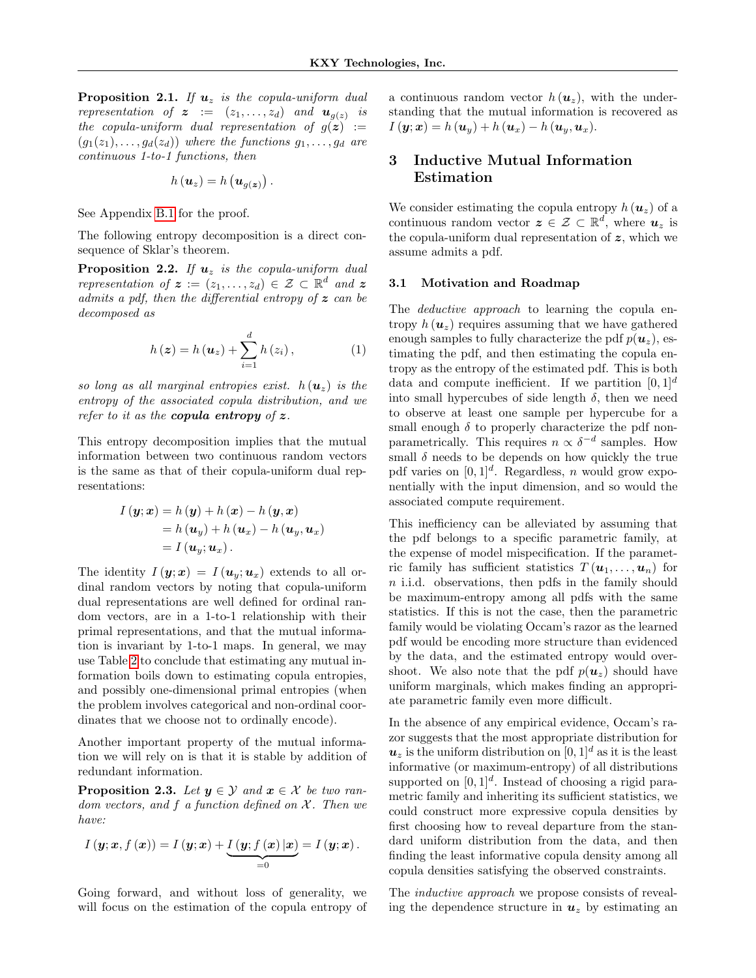<span id="page-2-2"></span>**Proposition 2.1.** If  $u_z$  is the copula-uniform dual representation of  $\boldsymbol{z} := (z_1, \ldots, z_d)$  and  $\boldsymbol{u}_{g(z)}$  is the copula-uniform dual representation of  $g(z) :=$  $(g_1(z_1), \ldots, g_d(z_d))$  where the functions  $g_1, \ldots, g_d$  are continuous 1-to-1 functions, then

$$
h(\boldsymbol{u}_z)=h(\boldsymbol{u}_{g(\boldsymbol{z})})\,.
$$

See Appendix [B.1](#page-12-1) for the proof.

The following entropy decomposition is a direct consequence of Sklar's theorem.

<span id="page-2-3"></span>**Proposition 2.2.** If  $u_z$  is the copula-uniform dual representation of  $\boldsymbol{z} := (z_1, \ldots, z_d) \in \mathcal{Z} \subset \mathbb{R}^d$  and  $\boldsymbol{z}$ admits a pdf, then the differential entropy of  $z$  can be decomposed as

$$
h(z) = h(u_z) + \sum_{i=1}^{d} h(z_i), \qquad (1)
$$

so long as all marginal entropies exist.  $h(\mathbf{u}_z)$  is the entropy of the associated copula distribution, and we refer to it as the **copula entropy** of  $z$ .

This entropy decomposition implies that the mutual information between two continuous random vectors is the same as that of their copula-uniform dual representations:

$$
I(\mathbf{y};\mathbf{x}) = h(\mathbf{y}) + h(\mathbf{x}) - h(\mathbf{y}, \mathbf{x})
$$
  
=  $h(\mathbf{u}_{y}) + h(\mathbf{u}_{x}) - h(\mathbf{u}_{y}, \mathbf{u}_{x})$   
=  $I(\mathbf{u}_{y}; \mathbf{u}_{x}).$ 

The identity  $I(\mathbf{y};\mathbf{x}) = I(\mathbf{u}_v;\mathbf{u}_x)$  extends to all ordinal random vectors by noting that copula-uniform dual representations are well defined for ordinal random vectors, are in a 1-to-1 relationship with their primal representations, and that the mutual information is invariant by 1-to-1 maps. In general, we may use Table [2](#page-12-0) to conclude that estimating any mutual information boils down to estimating copula entropies, and possibly one-dimensional primal entropies (when the problem involves categorical and non-ordinal coordinates that we choose not to ordinally encode).

Another important property of the mutual information we will rely on is that it is stable by addition of redundant information.

<span id="page-2-1"></span>**Proposition 2.3.** Let  $y \in \mathcal{Y}$  and  $x \in \mathcal{X}$  be two random vectors, and  $f$  a function defined on  $\mathcal{X}$ . Then we have:

$$
I(\mathbf{y};\mathbf{x},f(\mathbf{x}))=I(\mathbf{y};\mathbf{x})+\underbrace{I(\mathbf{y};f(\mathbf{x})|\mathbf{x})}_{=0}=I(\mathbf{y};\mathbf{x}).
$$

Going forward, and without loss of generality, we will focus on the estimation of the copula entropy of a continuous random vector  $h(\boldsymbol{u}_z)$ , with the understanding that the mutual information is recovered as  $I(\mathbf{y};\mathbf{x}) = h(\mathbf{u}_{y}) + h(\mathbf{u}_{x}) - h(\mathbf{u}_{y},\mathbf{u}_{x}).$ 

# <span id="page-2-0"></span>3 Inductive Mutual Information Estimation

We consider estimating the copula entropy  $h(\boldsymbol{u}_z)$  of a continuous random vector  $z \in \mathcal{Z} \subset \mathbb{R}^d$ , where  $u_z$  is the copula-uniform dual representation of  $z$ , which we assume admits a pdf.

### 3.1 Motivation and Roadmap

<span id="page-2-4"></span>The *deductive approach* to learning the copula entropy  $h(\mathbf{u}_z)$  requires assuming that we have gathered enough samples to fully characterize the pdf  $p(\boldsymbol{u}_z)$ , estimating the pdf, and then estimating the copula entropy as the entropy of the estimated pdf. This is both data and compute inefficient. If we partition  $[0, 1]^d$ into small hypercubes of side length  $\delta$ , then we need to observe at least one sample per hypercube for a small enough  $\delta$  to properly characterize the pdf nonparametrically. This requires  $n \propto \delta^{-d}$  samples. How small  $\delta$  needs to be depends on how quickly the true pdf varies on  $[0, 1]^d$ . Regardless, *n* would grow exponentially with the input dimension, and so would the associated compute requirement.

This inefficiency can be alleviated by assuming that the pdf belongs to a specific parametric family, at the expense of model mispecification. If the parametric family has sufficient statistics  $T(\boldsymbol{u}_1,\ldots,\boldsymbol{u}_n)$  for n i.i.d. observations, then pdfs in the family should be maximum-entropy among all pdfs with the same statistics. If this is not the case, then the parametric family would be violating Occam's razor as the learned pdf would be encoding more structure than evidenced by the data, and the estimated entropy would overshoot. We also note that the pdf  $p(\boldsymbol{u}_z)$  should have uniform marginals, which makes finding an appropriate parametric family even more difficult.

In the absence of any empirical evidence, Occam's razor suggests that the most appropriate distribution for  $u_z$  is the uniform distribution on  $[0, 1]^d$  as it is the least informative (or maximum-entropy) of all distributions supported on  $[0,1]^d$ . Instead of choosing a rigid parametric family and inheriting its sufficient statistics, we could construct more expressive copula densities by first choosing how to reveal departure from the standard uniform distribution from the data, and then finding the least informative copula density among all copula densities satisfying the observed constraints.

The *inductive approach* we propose consists of revealing the dependence structure in  $u_z$  by estimating an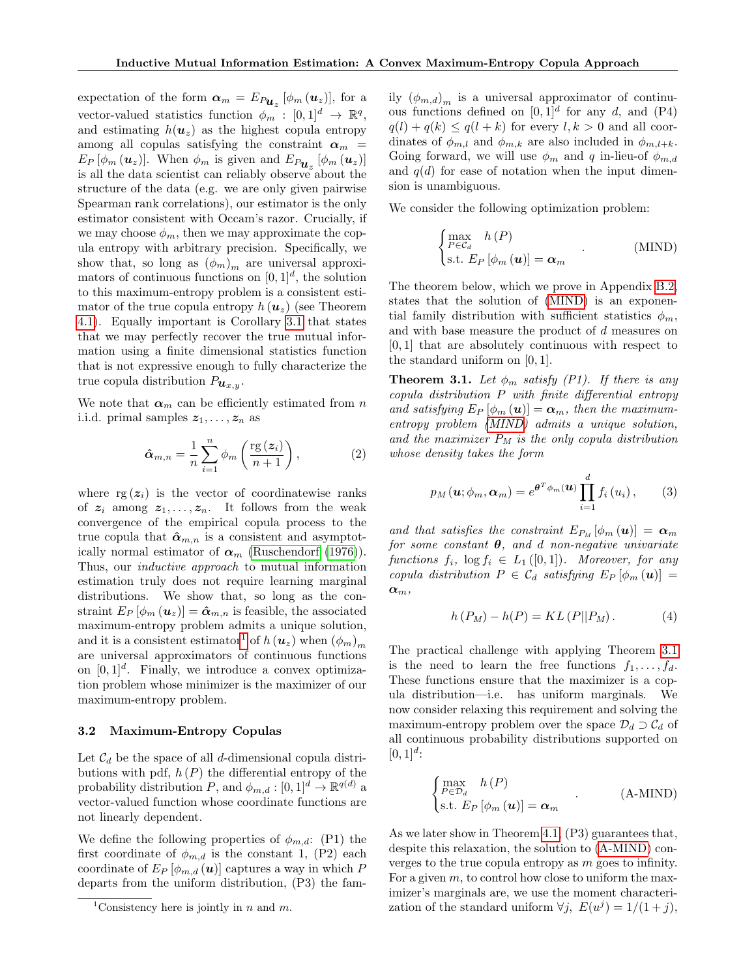expectation of the form  $\boldsymbol{\alpha}_m = E_{P_{\boldsymbol{u}_z}} [\phi_m(\boldsymbol{u}_z)],$  for a vector-valued statistics function  $\phi_m$ :  $[0,1]^d \rightarrow \mathbb{R}^q$ , and estimating  $h(\mathbf{u}_z)$  as the highest copula entropy among all copulas satisfying the constraint  $\alpha_m$  =  $E_P\left[\phi_m\left(\mathbf{u}_z\right)\right]$ . When  $\phi_m$  is given and  $E_{P_{\mathbf{u}_z}}\left[\phi_m\left(\mathbf{u}_z\right)\right]$ is all the data scientist can reliably observe about the structure of the data (e.g. we are only given pairwise Spearman rank correlations), our estimator is the only estimator consistent with Occam's razor. Crucially, if we may choose  $\phi_m$ , then we may approximate the copula entropy with arbitrary precision. Specifically, we show that, so long as  $(\phi_m)_m$  are universal approximators of continuous functions on  $[0, 1]^d$ , the solution to this maximum-entropy problem is a consistent estimator of the true copula entropy  $h(\boldsymbol{u}_z)$  (see Theorem [4.1\)](#page-5-1). Equally important is Corollary [3.1](#page-4-0) that states that we may perfectly recover the true mutual information using a finite dimensional statistics function that is not expressive enough to fully characterize the true copula distribution  $P_{\boldsymbol{u}_{x,y}}$ .

We note that  $\alpha_m$  can be efficiently estimated from n i.i.d. primal samples  $z_1, \ldots, z_n$  as

$$
\hat{\boldsymbol{\alpha}}_{m,n} = \frac{1}{n} \sum_{i=1}^{n} \phi_m \left( \frac{\text{rg}\left(\boldsymbol{z}_i\right)}{n+1} \right),\tag{2}
$$

where  $rg(z_i)$  is the vector of coordinatewise ranks of  $z_i$  among  $z_1, \ldots, z_n$ . It follows from the weak convergence of the empirical copula process to the true copula that  $\hat{\alpha}_{m,n}$  is a consistent and asymptotically normal estimator of  $\alpha_m$  [\(Ruschendorf](#page-10-9) [\(1976\)](#page-10-9)). Thus, our *inductive approach* to mutual information estimation truly does not require learning marginal distributions. We show that, so long as the constraint  $E_P [\phi_m(u_z)] = \hat{\alpha}_{m,n}$  is feasible, the associated maximum-entropy problem admits a unique solution, and it is a consistent estimator<sup>[1](#page-3-0)</sup> of  $h(\boldsymbol{u}_z)$  when  $(\phi_m)_m$ are universal approximators of continuous functions on  $[0, 1]^d$ . Finally, we introduce a convex optimization problem whose minimizer is the maximizer of our maximum-entropy problem.

### 3.2 Maximum-Entropy Copulas

Let  $\mathcal{C}_d$  be the space of all d-dimensional copula distributions with pdf,  $h(P)$  the differential entropy of the probability distribution P, and  $\phi_{m,d} : [0,1]^d \to \mathbb{R}^{q(d)}$  a vector-valued function whose coordinate functions are not linearly dependent.

We define the following properties of  $\phi_{m,d}$ : (P1) the first coordinate of  $\phi_{m,d}$  is the constant 1, (P2) each coordinate of  $E_P \left[ \phi_{m,d} \left( \boldsymbol{u} \right) \right]$  captures a way in which P departs from the uniform distribution, (P3) the family  $(\phi_{m,d})_m$  is a universal approximator of continuous functions defined on  $[0, 1]^d$  for any d, and  $(P4)$  $q(l) + q(k) \leq q(l+k)$  for every  $l, k > 0$  and all coordinates of  $\phi_{m,l}$  and  $\phi_{m,k}$  are also included in  $\phi_{m,l+k}$ . Going forward, we will use  $\phi_m$  and q in-lieu-of  $\phi_{m,d}$ and  $q(d)$  for ease of notation when the input dimension is unambiguous.

We consider the following optimization problem:

<span id="page-3-1"></span>
$$
\begin{cases}\n\max_{P \in \mathcal{C}_d} h(P) \\
\text{s.t. } E_P [\phi_m(\boldsymbol{u})] = \boldsymbol{\alpha}_m\n\end{cases} . \tag{MIND}
$$

The theorem below, which we prove in Appendix [B.2,](#page-12-2) states that the solution of [\(MIND\)](#page-3-1) is an exponential family distribution with sufficient statistics  $\phi_m$ , and with base measure the product of d measures on [0, 1] that are absolutely continuous with respect to the standard uniform on [0, 1].

<span id="page-3-4"></span><span id="page-3-2"></span>**Theorem 3.1.** Let  $\phi_m$  satisfy (P1). If there is any copula distribution P with finite differential entropy and satisfying  $E_P [\phi_m(\mathbf{u})] = \alpha_m$ , then the maximumentropy problem [\(MIND\)](#page-3-1) admits a unique solution, and the maximizer  $P_M$  is the only copula distribution whose density takes the form

$$
p_M(\mathbf{u};\phi_m,\boldsymbol{\alpha}_m)=e^{\boldsymbol{\theta}^T\phi_m(\mathbf{u})}\prod_{i=1}^d f_i(u_i),\qquad(3)
$$

and that satisfies the constraint  $E_{P_M}[\phi_m(\boldsymbol{u})] = \boldsymbol{\alpha}_m$ for some constant  $\theta$ , and d non-negative univariate functions  $f_i$ ,  $\log f_i \in L_1([0,1])$ . Moreover, for any copula distribution  $P \in \mathcal{C}_d$  satisfying  $E_P \left[ \phi_m \left( \bm{u} \right) \right] =$  $\pmb{\alpha}_m,$ 

$$
h(P_M) - h(P) = KL(P||P_M).
$$
 (4)

The practical challenge with applying Theorem [3.1](#page-3-2) is the need to learn the free functions  $f_1, \ldots, f_d$ . These functions ensure that the maximizer is a copula distribution—i.e. has uniform marginals. We now consider relaxing this requirement and solving the maximum-entropy problem over the space  $\mathcal{D}_d \supset \mathcal{C}_d$  of all continuous probability distributions supported on  $[0, 1]^{d}$ :

<span id="page-3-3"></span>
$$
\begin{cases}\n\max_{P \in \mathcal{D}_d} h(P) \\
\text{s.t. } E_P[\phi_m(\boldsymbol{u})] = \boldsymbol{\alpha}_m\n\end{cases} \tag{A-MIND}
$$

As we later show in Theorem [4.1,](#page-5-1) (P3) guarantees that, despite this relaxation, the solution to [\(A-MIND\)](#page-3-3) converges to the true copula entropy as m goes to infinity. For a given  $m$ , to control how close to uniform the maximizer's marginals are, we use the moment characterization of the standard uniform  $\forall j, E(u^j) = 1/(1+j),$ 

<span id="page-3-0"></span><sup>&</sup>lt;sup>1</sup>Consistency here is jointly in *n* and *m*.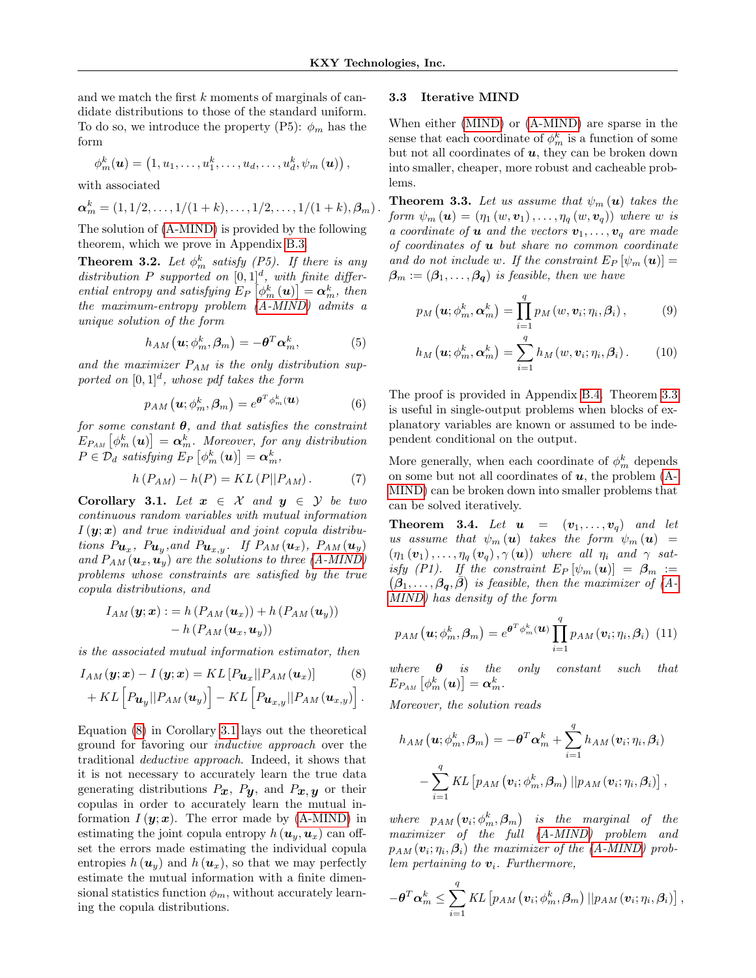and we match the first k moments of marginals of candidate distributions to those of the standard uniform. To do so, we introduce the property (P5):  $\phi_m$  has the form

$$
\phi_m^k(\boldsymbol{u})=\left(1,u_1,\ldots,u_1^k,\ldots,u_d,\ldots,u_d^k,\psi_m\left(\boldsymbol{u}\right)\right),
$$

with associated

$$
\boldsymbol{\alpha}_m^k = (1, 1/2, \ldots, 1/(1+k), \ldots, 1/2, \ldots, 1/(1+k), \beta_m).
$$

The solution of [\(A-MIND\)](#page-3-3) is provided by the following theorem, which we prove in Appendix [B.3.](#page-13-0)

<span id="page-4-4"></span>**Theorem 3.2.** Let  $\phi_m^k$  satisfy (P5). If there is any distribution P supported on  $[0,1]^d$ , with finite differential entropy and satisfying  $E_P\left[\phi_m^k\left(\boldsymbol{u}\right)\right] = \boldsymbol{\alpha}_m^k$ , then the maximum-entropy problem [\(A-MIND\)](#page-3-3) admits a unique solution of the form

$$
h_{AM}\left(\mathbf{u};\phi_m^k,\boldsymbol{\beta}_m\right)=-\boldsymbol{\theta}^T\boldsymbol{\alpha}_m^k,\tag{5}
$$

and the maximizer  $P_{AM}$  is the only distribution supported on  $[0,1]^d$ , whose pdf takes the form

$$
p_{AM}\left(\mathbf{u};\phi_m^k,\boldsymbol{\beta}_m\right)=e^{\boldsymbol{\theta}^T\phi_m^k(\mathbf{u})}
$$
 (6)

for some constant  $\theta$ , and that satisfies the constraint  $E_{P_{AM}}\left[\phi_{m}^{k}\left(\boldsymbol{u}\right)\right]=\boldsymbol{\alpha}_{m}^{k}.$  Moreover, for any distribution  $P \in \mathcal{D}_d$  satisfying  $E_P \left[ \phi_m^k \left( \boldsymbol{u} \right) \right] = \boldsymbol{\alpha}_m^k$ ,

$$
h(P_{AM}) - h(P) = KL(P||P_{AM}). \tag{7}
$$

<span id="page-4-0"></span>Corollary 3.1. Let  $x \in \mathcal{X}$  and  $y \in \mathcal{Y}$  be two continuous random variables with mutual information  $I(\mathbf{y};\mathbf{x})$  and true individual and joint copula distributions  $P_{\boldsymbol{u}_x}$ ,  $P_{\boldsymbol{u}_y}$ , and  $P_{\boldsymbol{u}_{x,y}}$ . If  $P_{AM}(\boldsymbol{u}_x)$ ,  $P_{AM}(\boldsymbol{u}_y)$ and  $P_{AM}(\boldsymbol{u}_x, \tilde{\boldsymbol{u}_y})$  are the solutions to three [\(A-MIND\)](#page-3-3) problems whose constraints are satisfied by the true copula distributions, and

$$
I_{AM}(\mathbf{y};\mathbf{x}) := h(P_{AM}(\mathbf{u}_x)) + h(P_{AM}(\mathbf{u}_y))
$$
  
- h(P\_{AM}(\mathbf{u}\_x, \mathbf{u}\_y))

is the associated mutual information estimator, then

$$
I_{AM}(\mathbf{y};\mathbf{x}) - I(\mathbf{y};\mathbf{x}) = KL[P_{\mathbf{u}_x}||P_{AM}(\mathbf{u}_x)] \qquad (8)
$$
  
+ 
$$
KL[P_{\mathbf{u}_y}||P_{AM}(\mathbf{u}_y)] - KL[P_{\mathbf{u}_{x,y}}||P_{AM}(\mathbf{u}_{x,y})].
$$

Equation [\(8\)](#page-4-1) in Corollary [3.1](#page-4-0) lays out the theoretical ground for favoring our inductive approach over the traditional deductive approach. Indeed, it shows that it is not necessary to accurately learn the true data generating distributions  $P_x$ ,  $P_y$ , and  $P_x$ , y or their copulas in order to accurately learn the mutual information  $I(\mathbf{y};\mathbf{x})$ . The error made by [\(A-MIND\)](#page-3-3) in estimating the joint copula entropy  $h(\boldsymbol{u}_u,\boldsymbol{u}_x)$  can offset the errors made estimating the individual copula entropies  $h(\mathbf{u}_y)$  and  $h(\mathbf{u}_x)$ , so that we may perfectly estimate the mutual information with a finite dimensional statistics function  $\phi_m$ , without accurately learning the copula distributions.

#### 3.3 Iterative MIND

When either [\(MIND\)](#page-3-1) or [\(A-MIND\)](#page-3-3) are sparse in the sense that each coordinate of  $\phi_m^k$  is a function of some but not all coordinates of  $u$ , they can be broken down into smaller, cheaper, more robust and cacheable problems.

<span id="page-4-2"></span>**Theorem 3.3.** Let us assume that  $\psi_m(\mathbf{u})$  takes the form  $\psi_m(\mathbf{u}) = (\eta_1(w, \mathbf{v}_1), \dots, \eta_q(w, \mathbf{v}_q))$  where w is a coordinate of **u** and the vectors  $v_1, \ldots, v_q$  are made of coordinates of  $\boldsymbol{u}$  but share no common coordinate and do not include w. If the constraint  $E_P[\psi_m(\boldsymbol{u})] =$  $\beta_m := (\beta_1, \ldots, \beta_q)$  is feasible, then we have

$$
p_M\left(\mathbf{u};\phi_m^k,\mathbf{\alpha}_m^k\right) = \prod_{i=1}^q p_M\left(w,\mathbf{v}_i;\eta_i,\boldsymbol{\beta}_i\right),\tag{9}
$$

$$
h_M\left(\mathbf{u};\phi_m^k,\boldsymbol{\alpha}_m^k\right)=\sum_{i=1}^q h_M\left(w,\mathbf{v}_i;\eta_i,\boldsymbol{\beta}_i\right). \hspace{1cm} (10)
$$

The proof is provided in Appendix [B.4.](#page-13-1) Theorem [3.3](#page-4-2) is useful in single-output problems when blocks of explanatory variables are known or assumed to be independent conditional on the output.

More generally, when each coordinate of  $\phi_m^k$  depends on some but not all coordinates of  $u$ , the problem  $(A-$ [MIND\)](#page-3-3) can be broken down into smaller problems that can be solved iteratively.

<span id="page-4-3"></span>**Theorem 3.4.** Let  $u = (v_1, \ldots, v_q)$  and let us assume that  $\psi_m(\mathbf{u})$  takes the form  $\psi_m(\mathbf{u})$  =  $(\eta_1(\boldsymbol{v}_1), \ldots, \eta_q(\boldsymbol{v}_q), \gamma(\boldsymbol{u}))$  where all  $\eta_i$  and  $\gamma$  satisfy (P1). If the constraint  $E_P \left[ \psi_m \left( \mathbf{u} \right) \right] = \mathbf{\beta}_m :=$  $(\beta_1,\ldots,\beta_q,\bar{\beta})$  is feasible, then the maximizer of [\(A-](#page-3-3)[MIND\)](#page-3-3) has density of the form

$$
p_{AM}(\boldsymbol{u};\phi_m^k,\boldsymbol{\beta}_m)=e^{\boldsymbol{\theta}^T\phi_m^k(\boldsymbol{u})}\prod_{i=1}^q p_{AM}(\boldsymbol{v}_i;\eta_i,\boldsymbol{\beta}_i) \hspace{0.2cm}(11)
$$

<span id="page-4-1"></span>where  $\theta$  is the only constant such that  $E_{P_{AM}}\left[\phi_{m}^{k}\left(\boldsymbol{u}\right)\right]=\boldsymbol{\alpha}_{m}^{k}.$ 

Moreover, the solution reads

$$
h_{AM}(\boldsymbol{u};\phi_m^k,\boldsymbol{\beta}_m)=-\boldsymbol{\theta}^T\boldsymbol{\alpha}_m^k+\sum_{i=1}^q h_{AM}(\boldsymbol{v}_i;\eta_i,\boldsymbol{\beta}_i)\\-\sum_{i=1}^q KL\left[p_{AM}(\boldsymbol{v}_i;\phi_m^k,\boldsymbol{\beta}_m)\left\|p_{AM}(\boldsymbol{v}_i;\eta_i,\boldsymbol{\beta}_i)\right.\right],
$$

where  $p_{AM}(\boldsymbol{v}_i;\phi_m^k,\boldsymbol{\beta}_m)$  is the marginal of the maximizer of the full [\(A-MIND\)](#page-3-3) problem and  $p_{AM}\left(\boldsymbol{v}_i;\eta_i,\boldsymbol{\beta}_i\right)$  the maximizer of the [\(A-MIND\)](#page-3-3) problem pertaining to  $v_i$ . Furthermore,

$$
-\boldsymbol{\theta}^{T}\boldsymbol{\alpha}_{m}^{k} \leq \sum_{i=1}^{q} KL\left[p_{AM}\left(\boldsymbol{v}_{i}; \phi_{m}^{k}, \boldsymbol{\beta}_{m}\right)||p_{AM}\left(\boldsymbol{v}_{i}; \eta_{i}, \boldsymbol{\beta}_{i}\right)\right],
$$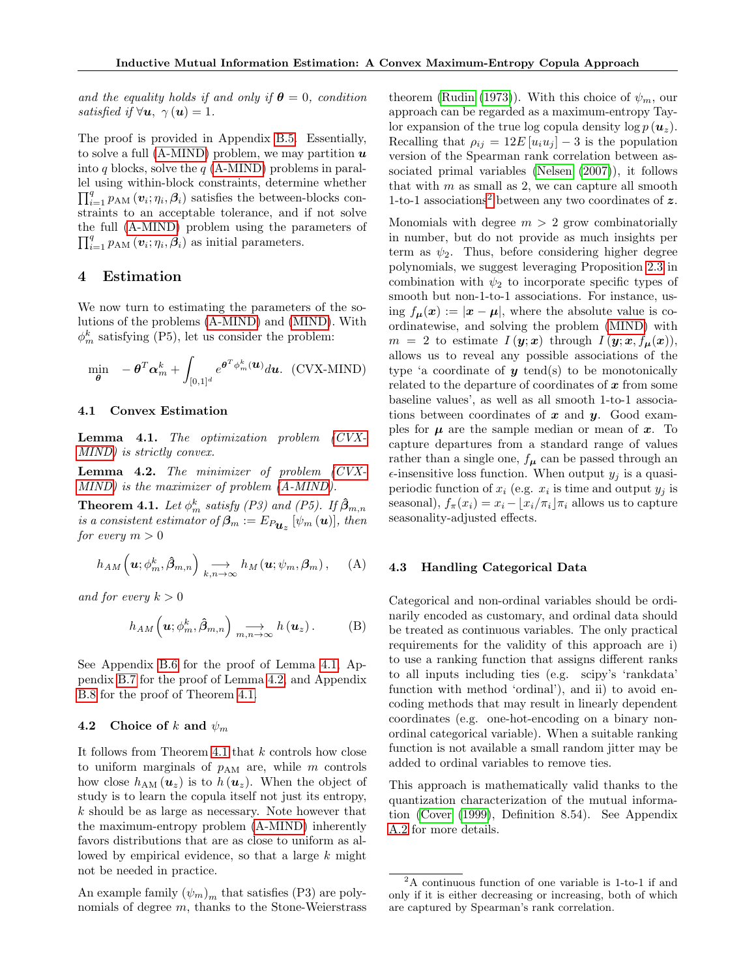and the equality holds if and only if  $\theta = 0$ , condition satisfied if  $\forall u, \gamma(u) = 1$ .

The proof is provided in Appendix [B.5.](#page-14-0) Essentially, to solve a full [\(A-MIND\)](#page-3-3) problem, we may partition  $\boldsymbol{u}$ into q blocks, solve the  $q$  [\(A-MIND\)](#page-3-3) problems in parallel using within-block constraints, determine whether  $\prod_{i=1}^{q} p_{\text{AM}}\left(v_i; \eta_i, \beta_i\right)$  satisfies the between-blocks constraints to an acceptable tolerance, and if not solve the full [\(A-MIND\)](#page-3-3) problem using the parameters of  $\prod_{i=1}^{q} p_{\mathrm{AM}}\left(\boldsymbol{v}_i;\eta_i,\boldsymbol{\beta}_i\right)$  as initial parameters.

# <span id="page-5-0"></span>4 Estimation

We now turn to estimating the parameters of the solutions of the problems [\(A-MIND\)](#page-3-3) and [\(MIND\)](#page-3-1). With  $\phi_m^k$  satisfying (P5), let us consider the problem:

$$
\min_{\boldsymbol{\theta}} \quad -\boldsymbol{\theta}^T \boldsymbol{\alpha}_m^k + \int_{[0,1]^d} e^{\boldsymbol{\theta}^T \phi_m^k(\boldsymbol{u})} d\boldsymbol{u}. \ \ (\text{CVX-MIND})
$$

### 4.1 Convex Estimation

<span id="page-5-3"></span>Lemma 4.1. The optimization problem [\(CVX-](#page-5-2)[MIND\)](#page-5-2) is strictly convex.

<span id="page-5-4"></span>Lemma 4.2. The minimizer of problem [\(CVX-](#page-5-2)[MIND\)](#page-5-2) is the maximizer of problem [\(A-MIND\)](#page-3-3).

<span id="page-5-1"></span>**Theorem 4.1.** Let  $\phi_m^k$  satisfy (P3) and (P5). If  $\hat{\beta}_{m,n}$ is a consistent estimator of  $\boldsymbol{\beta}_m := E_{P_{\boldsymbol{u}_z}}\left[\psi_m\left(\boldsymbol{u}\right)\right]$ , then for every  $m > 0$ 

$$
h_{AM}\left(\boldsymbol{u};\phi_m^k,\hat{\boldsymbol{\beta}}_{m,n}\right)\underset{k,n\to\infty}{\longrightarrow}h_M\left(\boldsymbol{u};\psi_m,\boldsymbol{\beta}_m\right),\quad\text{(A)}
$$

and for every  $k > 0$ 

$$
h_{AM}\left(\boldsymbol{u};\phi_m^k,\hat{\boldsymbol{\beta}}_{m,n}\right)\underset{m,n\to\infty}{\longrightarrow}h\left(\boldsymbol{u}_z\right).
$$
 (B)

See Appendix [B.6](#page-14-1) for the proof of Lemma [4.1,](#page-5-3) Appendix [B.7](#page-14-2) for the proof of Lemma [4.2,](#page-5-4) and Appendix [B.8](#page-14-3) for the proof of Theorem [4.1.](#page-5-1)

### 4.2 Choice of k and  $\psi_m$

It follows from Theorem [4.1](#page-5-1) that  $k$  controls how close to uniform marginals of  $p_{AM}$  are, while m controls how close  $h_{AM}(\mathbf{u}_z)$  is to  $h(\mathbf{u}_z)$ . When the object of study is to learn the copula itself not just its entropy, k should be as large as necessary. Note however that the maximum-entropy problem [\(A-MIND\)](#page-3-3) inherently favors distributions that are as close to uniform as allowed by empirical evidence, so that a large  $k$  might not be needed in practice.

An example family  $(\psi_m)_m$  that satisfies (P3) are polynomials of degree  $m$ , thanks to the Stone-Weierstrass theorem [\(Rudin](#page-10-10) [\(1973\)](#page-10-10)). With this choice of  $\psi_m$ , our approach can be regarded as a maximum-entropy Taylor expansion of the true log copula density log  $p(\boldsymbol{u}_z)$ . Recalling that  $\rho_{ij} = 12E[u_i u_j] - 3$  is the population version of the Spearman rank correlation between associated primal variables [\(Nelsen](#page-9-15) [\(2007\)](#page-9-15)), it follows that with  $m$  as small as 2, we can capture all smooth 1-to-1 associations<sup>[2](#page-5-5)</sup> between any two coordinates of  $z$ .

<span id="page-5-2"></span>Monomials with degree  $m > 2$  grow combinatorially in number, but do not provide as much insights per term as  $\psi_2$ . Thus, before considering higher degree polynomials, we suggest leveraging Proposition [2.3](#page-2-1) in combination with  $\psi_2$  to incorporate specific types of smooth but non-1-to-1 associations. For instance, using  $f_{\mu}(\boldsymbol{x}) := |\boldsymbol{x} - \mu|$ , where the absolute value is coordinatewise, and solving the problem [\(MIND\)](#page-3-1) with  $m = 2$  to estimate  $I(\mathbf{y}; \mathbf{x})$  through  $I(\mathbf{y}; \mathbf{x}, f_{\mu}(\mathbf{x})),$ allows us to reveal any possible associations of the type 'a coordinate of  $y$  tend(s) to be monotonically related to the departure of coordinates of  $x$  from some baseline values', as well as all smooth 1-to-1 associations between coordinates of  $x$  and  $y$ . Good examples for  $\mu$  are the sample median or mean of  $x$ . To capture departures from a standard range of values rather than a single one,  $f_{\mu}$  can be passed through an  $\epsilon$ -insensitive loss function. When output  $y_j$  is a quasiperiodic function of  $x_i$  (e.g.  $x_i$  is time and output  $y_j$  is seasonal),  $f_{\pi}(x_i) = x_i - |x_i/\pi_i| \pi_i$  allows us to capture seasonality-adjusted effects.

#### <span id="page-5-6"></span>4.3 Handling Categorical Data

<span id="page-5-7"></span>Categorical and non-ordinal variables should be ordinarily encoded as customary, and ordinal data should be treated as continuous variables. The only practical requirements for the validity of this approach are i) to use a ranking function that assigns different ranks to all inputs including ties (e.g. scipy's 'rankdata' function with method 'ordinal'), and ii) to avoid encoding methods that may result in linearly dependent coordinates (e.g. one-hot-encoding on a binary nonordinal categorical variable). When a suitable ranking function is not available a small random jitter may be added to ordinal variables to remove ties.

This approach is mathematically valid thanks to the quantization characterization of the mutual information [\(Cover](#page-9-16) [\(1999\)](#page-9-16), Definition 8.54). See Appendix [A.2](#page-11-0) for more details.

<span id="page-5-5"></span><sup>2</sup>A continuous function of one variable is 1-to-1 if and only if it is either decreasing or increasing, both of which are captured by Spearman's rank correlation.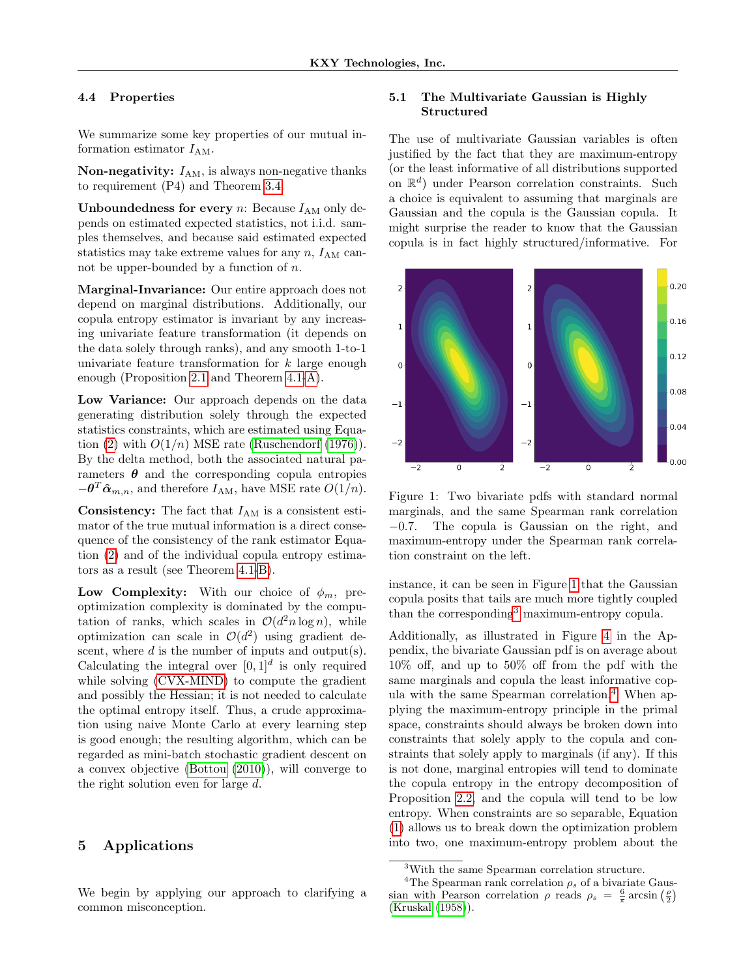### 4.4 Properties

We summarize some key properties of our mutual information estimator  $I_{AM}$ .

Non-negativity:  $I_{AM}$ , is always non-negative thanks to requirement (P4) and Theorem [3.4.](#page-4-3)

**Unboundedness for every** n: Because  $I_{AM}$  only depends on estimated expected statistics, not i.i.d. samples themselves, and because said estimated expected statistics may take extreme values for any  $n$ ,  $I_{AM}$  cannot be upper-bounded by a function of  $n$ .

Marginal-Invariance: Our entire approach does not depend on marginal distributions. Additionally, our copula entropy estimator is invariant by any increasing univariate feature transformation (it depends on the data solely through ranks), and any smooth 1-to-1 univariate feature transformation for  $k$  large enough enough (Proposition [2.1](#page-2-2) and Theorem [4.1](#page-5-1)[-A\)](#page-5-6).

Low Variance: Our approach depends on the data generating distribution solely through the expected statistics constraints, which are estimated using Equa-tion [\(2\)](#page-3-4) with  $O(1/n)$  MSE rate [\(Ruschendorf](#page-10-9) [\(1976\)](#page-10-9)). By the delta method, both the associated natural parameters  $\theta$  and the corresponding copula entropies  $-\boldsymbol{\theta}^T \hat{\boldsymbol{\alpha}}_{m,n}$ , and therefore  $I_{AM}$ , have MSE rate  $O(1/n)$ .

**Consistency:** The fact that  $I_{AM}$  is a consistent estimator of the true mutual information is a direct consequence of the consistency of the rank estimator Equation [\(2\)](#page-3-4) and of the individual copula entropy estimators as a result (see Theorem [4.1](#page-5-1)[-B\)](#page-5-7).

Low Complexity: With our choice of  $\phi_m$ , preoptimization complexity is dominated by the computation of ranks, which scales in  $\mathcal{O}(d^2 n \log n)$ , while optimization can scale in  $\mathcal{O}(d^2)$  using gradient descent, where  $d$  is the number of inputs and output(s). Calculating the integral over  $[0, 1]^d$  is only required while solving [\(CVX-MIND\)](#page-5-2) to compute the gradient and possibly the Hessian; it is not needed to calculate the optimal entropy itself. Thus, a crude approximation using naive Monte Carlo at every learning step is good enough; the resulting algorithm, which can be regarded as mini-batch stochastic gradient descent on a convex objective [\(Bottou](#page-9-17) [\(2010\)](#page-9-17)), will converge to the right solution even for large d.

# <span id="page-6-0"></span>5 Applications

We begin by applying our approach to clarifying a common misconception.

### 5.1 The Multivariate Gaussian is Highly Structured

The use of multivariate Gaussian variables is often justified by the fact that they are maximum-entropy (or the least informative of all distributions supported on  $\mathbb{R}^d$ ) under Pearson correlation constraints. Such a choice is equivalent to assuming that marginals are Gaussian and the copula is the Gaussian copula. It might surprise the reader to know that the Gaussian copula is in fact highly structured/informative. For



<span id="page-6-1"></span>Figure 1: Two bivariate pdfs with standard normal marginals, and the same Spearman rank correlation −0.7. The copula is Gaussian on the right, and maximum-entropy under the Spearman rank correlation constraint on the left.

instance, it can be seen in Figure [1](#page-6-1) that the Gaussian copula posits that tails are much more tightly coupled than the corresponding<sup>[3](#page-6-2)</sup> maximum-entropy copula.

Additionally, as illustrated in Figure [4](#page-11-1) in the Appendix, the bivariate Gaussian pdf is on average about 10% off, and up to 50% off from the pdf with the same marginals and copula the least informative copula with the same Spearman correlation.[4](#page-6-3) When applying the maximum-entropy principle in the primal space, constraints should always be broken down into constraints that solely apply to the copula and constraints that solely apply to marginals (if any). If this is not done, marginal entropies will tend to dominate the copula entropy in the entropy decomposition of Proposition [2.2,](#page-2-3) and the copula will tend to be low entropy. When constraints are so separable, Equation [\(1\)](#page-2-4) allows us to break down the optimization problem into two, one maximum-entropy problem about the

<span id="page-6-3"></span><span id="page-6-2"></span><sup>3</sup>With the same Spearman correlation structure.

<sup>&</sup>lt;sup>4</sup>The Spearman rank correlation  $\rho_s$  of a bivariate Gaussian with Pearson correlation  $\rho$  reads  $\rho_s = \frac{6}{\pi} \arcsin \left(\frac{\rho}{2}\right)$ [\(Kruskal](#page-9-18) [\(1958\)](#page-9-18)).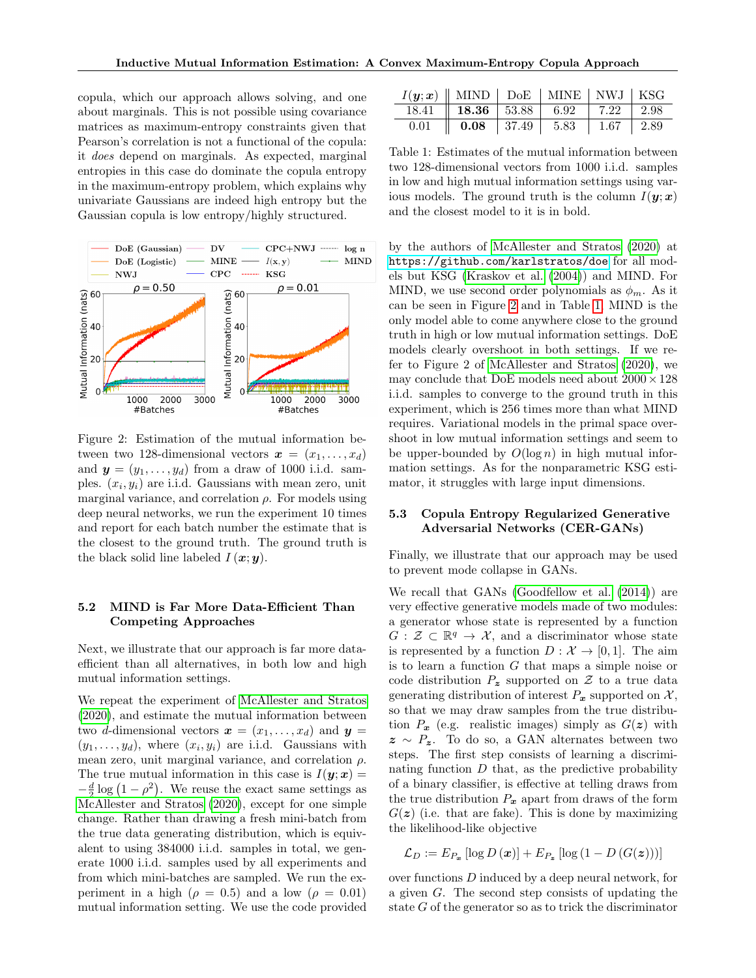copula, which our approach allows solving, and one about marginals. This is not possible using covariance matrices as maximum-entropy constraints given that Pearson's correlation is not a functional of the copula: it does depend on marginals. As expected, marginal entropies in this case do dominate the copula entropy in the maximum-entropy problem, which explains why univariate Gaussians are indeed high entropy but the Gaussian copula is low entropy/highly structured.



<span id="page-7-0"></span>Figure 2: Estimation of the mutual information between two 128-dimensional vectors  $\mathbf{x} = (x_1, \ldots, x_d)$ and  $y = (y_1, \ldots, y_d)$  from a draw of 1000 i.i.d. samples.  $(x_i, y_i)$  are i.i.d. Gaussians with mean zero, unit marginal variance, and correlation  $\rho$ . For models using deep neural networks, we run the experiment 10 times and report for each batch number the estimate that is the closest to the ground truth. The ground truth is the black solid line labeled  $I(\boldsymbol{x}; \boldsymbol{y})$ .

# 5.2 MIND is Far More Data-Efficient Than Competing Approaches

Next, we illustrate that our approach is far more dataefficient than all alternatives, in both low and high mutual information settings.

We repeat the experiment of [McAllester and Stratos](#page-9-10) [\(2020\)](#page-9-10), and estimate the mutual information between two d-dimensional vectors  $\mathbf{x} = (x_1, \ldots, x_d)$  and  $\mathbf{y} =$  $(y_1, \ldots, y_d)$ , where  $(x_i, y_i)$  are i.i.d. Gaussians with mean zero, unit marginal variance, and correlation  $\rho$ . The true mutual information in this case is  $I(\mathbf{y};\mathbf{x}) =$  $-\frac{d}{2}\log\left(1-\rho^2\right)$ . We reuse the exact same settings as [McAllester and Stratos](#page-9-10) [\(2020\)](#page-9-10), except for one simple change. Rather than drawing a fresh mini-batch from the true data generating distribution, which is equivalent to using 384000 i.i.d. samples in total, we generate 1000 i.i.d. samples used by all experiments and from which mini-batches are sampled. We run the experiment in a high ( $\rho = 0.5$ ) and a low ( $\rho = 0.01$ ) mutual information setting. We use the code provided

| $I(\mathbf{y};\mathbf{x})$    MIND   DoE   MINE   NWJ   KSG |                                                                                                                          |  |  |
|-------------------------------------------------------------|--------------------------------------------------------------------------------------------------------------------------|--|--|
|                                                             | $\overline{18.41}$   $\overline{18.36}$   $\overline{53.88}$   $\overline{6.92}$   $\overline{7.22}$   $\overline{2.98}$ |  |  |
|                                                             | $\overline{0.01}$ $\overline{0.08}$ $\overline{37.49}$ $\overline{5.83}$ $\overline{1.67}$ $\overline{2.89}$             |  |  |

<span id="page-7-1"></span>Table 1: Estimates of the mutual information between two 128-dimensional vectors from 1000 i.i.d. samples in low and high mutual information settings using various models. The ground truth is the column  $I(\mathbf{y}; \mathbf{x})$ and the closest model to it is in bold.

by the authors of [McAllester and Stratos](#page-9-10) [\(2020\)](#page-9-10) at <https://github.com/karlstratos/doe> for all models but KSG [\(Kraskov et al.](#page-9-6) [\(2004\)](#page-9-6)) and MIND. For MIND, we use second order polynomials as  $\phi_m$ . As it can be seen in Figure [2](#page-7-0) and in Table [1,](#page-7-1) MIND is the only model able to come anywhere close to the ground truth in high or low mutual information settings. DoE models clearly overshoot in both settings. If we refer to Figure 2 of [McAllester and Stratos](#page-9-10) [\(2020\)](#page-9-10), we may conclude that DoE models need about  $2000\times128$ i.i.d. samples to converge to the ground truth in this experiment, which is 256 times more than what MIND requires. Variational models in the primal space overshoot in low mutual information settings and seem to be upper-bounded by  $O(\log n)$  in high mutual information settings. As for the nonparametric KSG estimator, it struggles with large input dimensions.

### 5.3 Copula Entropy Regularized Generative Adversarial Networks (CER-GANs)

Finally, we illustrate that our approach may be used to prevent mode collapse in GANs.

We recall that GANs [\(Goodfellow et al.](#page-9-19) [\(2014\)](#page-9-19)) are very effective generative models made of two modules: a generator whose state is represented by a function  $G: \mathcal{Z} \subset \mathbb{R}^q \to \mathcal{X}$ , and a discriminator whose state is represented by a function  $D : \mathcal{X} \to [0, 1]$ . The aim is to learn a function  $G$  that maps a simple noise or code distribution  $P_z$  supported on Z to a true data generating distribution of interest  $P_x$  supported on X, so that we may draw samples from the true distribution  $P_x$  (e.g. realistic images) simply as  $G(z)$  with  $z \sim P_z$ . To do so, a GAN alternates between two steps. The first step consists of learning a discriminating function  $D$  that, as the predictive probability of a binary classifier, is effective at telling draws from the true distribution  $P_x$  apart from draws of the form  $G(z)$  (i.e. that are fake). This is done by maximizing the likelihood-like objective

$$
\mathcal{L}_D := E_{P_{\bm{x}}} \left[ \log D\left(\bm{x}\right) \right] + E_{P_{\bm{z}}} \left[ \log \left(1 - D\left(G(\bm{z})\right)\right) \right]
$$

over functions D induced by a deep neural network, for a given G. The second step consists of updating the state G of the generator so as to trick the discriminator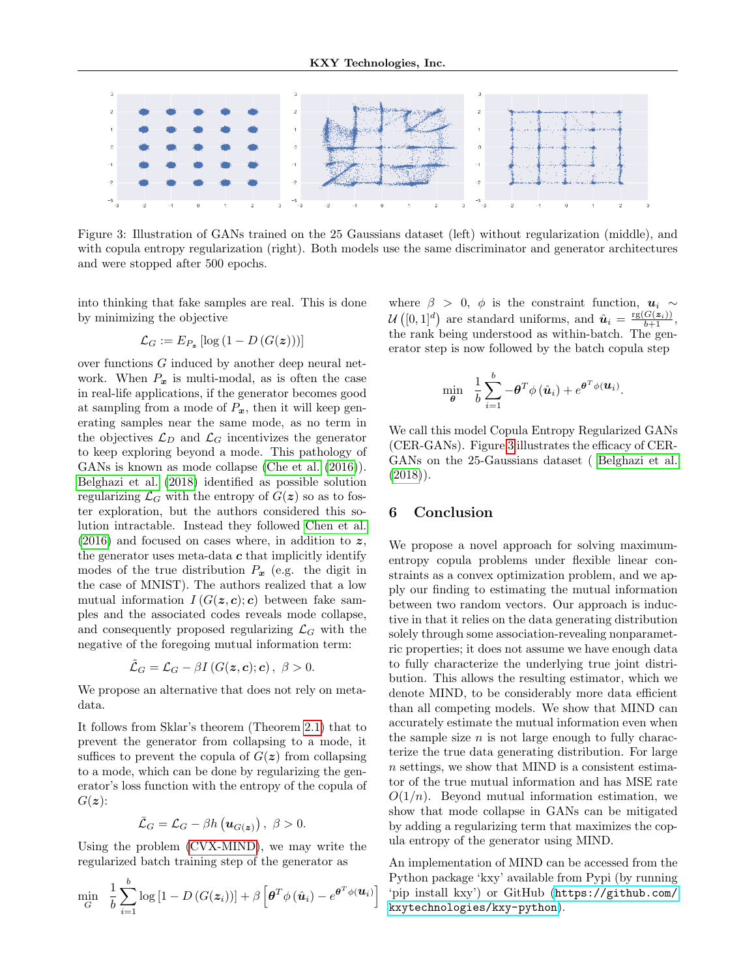

<span id="page-8-0"></span>Figure 3: Illustration of GANs trained on the 25 Gaussians dataset (left) without regularization (middle), and with copula entropy regularization (right). Both models use the same discriminator and generator architectures and were stopped after 500 epochs.

into thinking that fake samples are real. This is done by minimizing the objective

$$
\mathcal{L}_G := E_{P_{\boldsymbol{z}}} \left[ \log \left( 1 - D\left( G(\boldsymbol{z}) \right) \right) \right]
$$

over functions G induced by another deep neural network. When  $P_x$  is multi-modal, as is often the case in real-life applications, if the generator becomes good at sampling from a mode of  $P_x$ , then it will keep generating samples near the same mode, as no term in the objectives  $\mathcal{L}_D$  and  $\mathcal{L}_G$  incentivizes the generator to keep exploring beyond a mode. This pathology of GANs is known as mode collapse [\(Che et al.](#page-9-20) [\(2016\)](#page-9-20)). [Belghazi et al.](#page-9-9) [\(2018\)](#page-9-9) identified as possible solution regularizing  $\mathcal{L}_G$  with the entropy of  $G(z)$  so as to foster exploration, but the authors considered this solution intractable. Instead they followed [Chen et al.](#page-9-2)  $(2016)$  and focused on cases where, in addition to z, the generator uses meta-data  $c$  that implicitly identify modes of the true distribution  $P_x$  (e.g. the digit in the case of MNIST). The authors realized that a low mutual information  $I(G(\mathbf{z}, \mathbf{c}); \mathbf{c})$  between fake samples and the associated codes reveals mode collapse, and consequently proposed regularizing  $\mathcal{L}_G$  with the negative of the foregoing mutual information term:

$$
\tilde{\mathcal{L}}_G = \mathcal{L}_G - \beta I \left( G(\bm{z}, \bm{c}); \bm{c} \right), \ \beta > 0.
$$

We propose an alternative that does not rely on metadata.

It follows from Sklar's theorem (Theorem [2.1\)](#page-1-1) that to prevent the generator from collapsing to a mode, it suffices to prevent the copula of  $G(z)$  from collapsing to a mode, which can be done by regularizing the generator's loss function with the entropy of the copula of  $G(z)$ :

$$
\bar{\mathcal{L}}_G = \mathcal{L}_G - \beta h\left(\mathbf{u}_{G(\boldsymbol{z})}\right), \ \beta > 0.
$$

Using the problem [\(CVX-MIND\)](#page-5-2), we may write the regularized batch training step of the generator as

$$
\min_{G} \frac{1}{b} \sum_{i=1}^{b} \log \left[ 1 - D \left( G(z_i) \right) \right] + \beta \left[ \boldsymbol{\theta}^T \phi \left( \hat{\boldsymbol{u}}_i \right) - e^{\boldsymbol{\theta}^T \phi \left( \boldsymbol{u}_i \right)} \right]
$$

where  $\beta > 0$ ,  $\phi$  is the constraint function,  $u_i \sim$  $\mathcal{U}\left([0,1]^d\right)$  are standard uniforms, and  $\hat{\boldsymbol{u}}_i = \frac{\text{rg}(G(\boldsymbol{z}_i))}{b+1}$ , the rank being understood as within-batch. The generator step is now followed by the batch copula step

$$
\min_{\boldsymbol{\theta}} \quad \frac{1}{b} \sum_{i=1}^{b} -\boldsymbol{\theta}^T \phi(\hat{\boldsymbol{u}}_i) + e^{\boldsymbol{\theta}^T \phi(\boldsymbol{u}_i)}.
$$

We call this model Copula Entropy Regularized GANs (CER-GANs). Figure [3](#page-8-0) illustrates the efficacy of CER-GANs on the 25-Gaussians dataset ( [Belghazi et al.](#page-9-9)  $(2018)$ .

# 6 Conclusion

We propose a novel approach for solving maximumentropy copula problems under flexible linear constraints as a convex optimization problem, and we apply our finding to estimating the mutual information between two random vectors. Our approach is inductive in that it relies on the data generating distribution solely through some association-revealing nonparametric properties; it does not assume we have enough data to fully characterize the underlying true joint distribution. This allows the resulting estimator, which we denote MIND, to be considerably more data efficient than all competing models. We show that MIND can accurately estimate the mutual information even when the sample size  $n$  is not large enough to fully characterize the true data generating distribution. For large n settings, we show that MIND is a consistent estimator of the true mutual information and has MSE rate  $O(1/n)$ . Beyond mutual information estimation, we show that mode collapse in GANs can be mitigated by adding a regularizing term that maximizes the copula entropy of the generator using MIND.

An implementation of MIND can be accessed from the Python package 'kxy' available from Pypi (by running 'pip install kxy') or GitHub ([https://github.com/](https://github.com/kxytechnologies/kxy-python) [kxytechnologies/kxy-python](https://github.com/kxytechnologies/kxy-python)).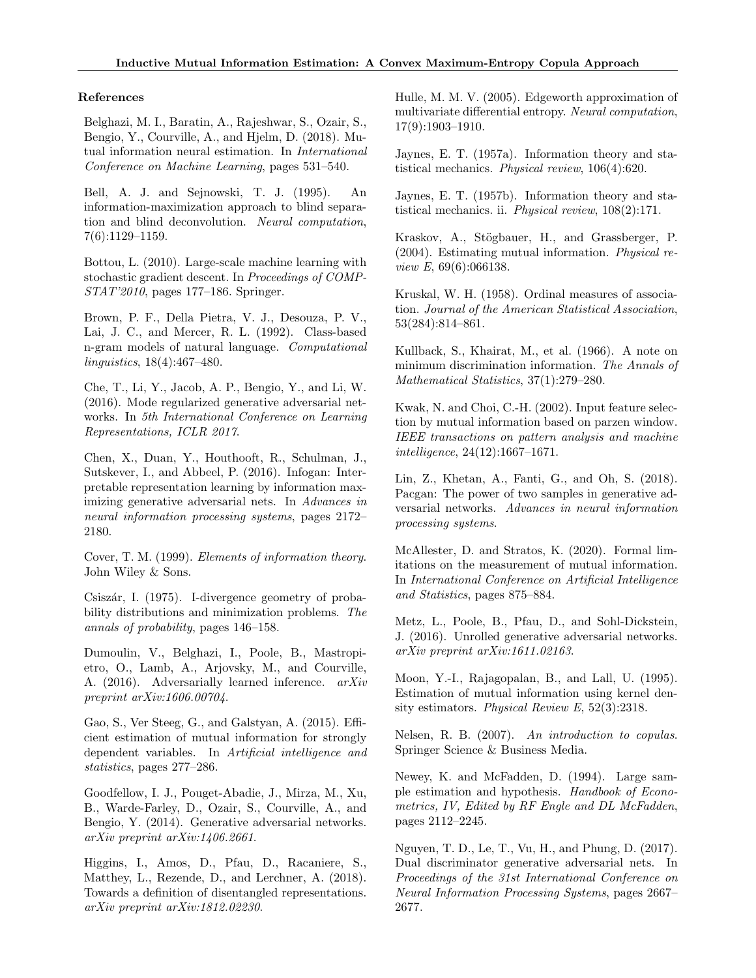### References

<span id="page-9-9"></span>Belghazi, M. I., Baratin, A., Rajeshwar, S., Ozair, S., Bengio, Y., Courville, A., and Hjelm, D. (2018). Mutual information neural estimation. In International Conference on Machine Learning, pages 531–540.

<span id="page-9-1"></span>Bell, A. J. and Sejnowski, T. J. (1995). An information-maximization approach to blind separation and blind deconvolution. Neural computation, 7(6):1129–1159.

<span id="page-9-17"></span>Bottou, L. (2010). Large-scale machine learning with stochastic gradient descent. In Proceedings of COMP-STAT'2010, pages 177–186. Springer.

<span id="page-9-0"></span>Brown, P. F., Della Pietra, V. J., Desouza, P. V., Lai, J. C., and Mercer, R. L. (1992). Class-based n-gram models of natural language. Computational linguistics, 18(4):467–480.

<span id="page-9-20"></span>Che, T., Li, Y., Jacob, A. P., Bengio, Y., and Li, W. (2016). Mode regularized generative adversarial networks. In 5th International Conference on Learning Representations, ICLR 2017.

<span id="page-9-2"></span>Chen, X., Duan, Y., Houthooft, R., Schulman, J., Sutskever, I., and Abbeel, P. (2016). Infogan: Interpretable representation learning by information maximizing generative adversarial nets. In Advances in neural information processing systems, pages 2172– 2180.

<span id="page-9-16"></span>Cover, T. M. (1999). Elements of information theory. John Wiley & Sons.

<span id="page-9-13"></span>Csiszár, I. (1975). I-divergence geometry of probability distributions and minimization problems. The annals of probability, pages 146–158.

Dumoulin, V., Belghazi, I., Poole, B., Mastropietro, O., Lamb, A., Arjovsky, M., and Courville, A. (2016). Adversarially learned inference. arXiv preprint arXiv:1606.00704.

<span id="page-9-7"></span>Gao, S., Ver Steeg, G., and Galstyan, A. (2015). Efficient estimation of mutual information for strongly dependent variables. In Artificial intelligence and statistics, pages 277–286.

<span id="page-9-19"></span>Goodfellow, I. J., Pouget-Abadie, J., Mirza, M., Xu, B., Warde-Farley, D., Ozair, S., Courville, A., and Bengio, Y. (2014). Generative adversarial networks. arXiv preprint arXiv:1406.2661.

<span id="page-9-3"></span>Higgins, I., Amos, D., Pfau, D., Racaniere, S., Matthey, L., Rezende, D., and Lerchner, A. (2018). Towards a definition of disentangled representations. arXiv preprint arXiv:1812.02230.

<span id="page-9-8"></span>Hulle, M. M. V. (2005). Edgeworth approximation of multivariate differential entropy. Neural computation, 17(9):1903–1910.

<span id="page-9-11"></span>Jaynes, E. T. (1957a). Information theory and statistical mechanics. Physical review, 106(4):620.

<span id="page-9-12"></span>Jaynes, E. T. (1957b). Information theory and statistical mechanics. ii. Physical review, 108(2):171.

<span id="page-9-6"></span>Kraskov, A., Stögbauer, H., and Grassberger, P. (2004). Estimating mutual information. Physical review E, 69(6):066138.

<span id="page-9-18"></span>Kruskal, W. H. (1958). Ordinal measures of association. Journal of the American Statistical Association, 53(284):814–861.

<span id="page-9-14"></span>Kullback, S., Khairat, M., et al. (1966). A note on minimum discrimination information. The Annals of Mathematical Statistics, 37(1):279–280.

<span id="page-9-5"></span>Kwak, N. and Choi, C.-H. (2002). Input feature selection by mutual information based on parzen window. IEEE transactions on pattern analysis and machine intelligence, 24(12):1667–1671.

Lin, Z., Khetan, A., Fanti, G., and Oh, S. (2018). Pacgan: The power of two samples in generative adversarial networks. Advances in neural information processing systems.

<span id="page-9-10"></span>McAllester, D. and Stratos, K. (2020). Formal limitations on the measurement of mutual information. In International Conference on Artificial Intelligence and Statistics, pages 875–884.

Metz, L., Poole, B., Pfau, D., and Sohl-Dickstein, J. (2016). Unrolled generative adversarial networks. arXiv preprint arXiv:1611.02163.

<span id="page-9-4"></span>Moon, Y.-I., Rajagopalan, B., and Lall, U. (1995). Estimation of mutual information using kernel density estimators. Physical Review E, 52(3):2318.

<span id="page-9-15"></span>Nelsen, R. B. (2007). An introduction to copulas. Springer Science & Business Media.

<span id="page-9-21"></span>Newey, K. and McFadden, D. (1994). Large sample estimation and hypothesis. Handbook of Econometrics, IV, Edited by RF Engle and DL McFadden, pages 2112–2245.

Nguyen, T. D., Le, T., Vu, H., and Phung, D. (2017). Dual discriminator generative adversarial nets. In Proceedings of the 31st International Conference on Neural Information Processing Systems, pages 2667– 2677.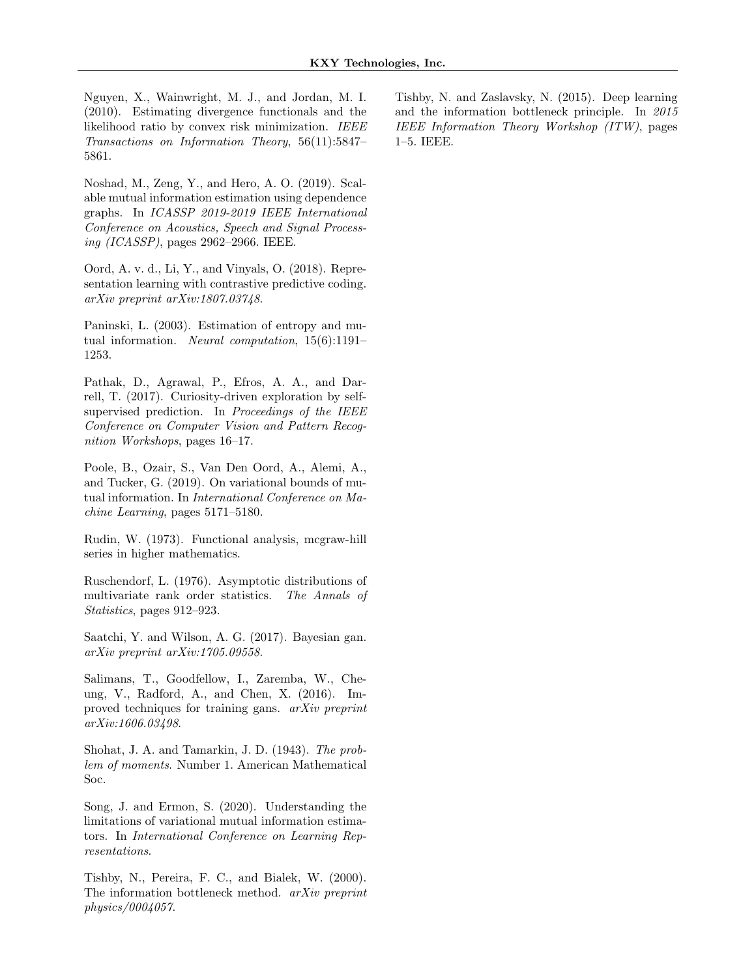<span id="page-10-6"></span>Nguyen, X., Wainwright, M. J., and Jordan, M. I. (2010). Estimating divergence functionals and the likelihood ratio by convex risk minimization. IEEE Transactions on Information Theory, 56(11):5847– 5861.

<span id="page-10-5"></span>Noshad, M., Zeng, Y., and Hero, A. O. (2019). Scalable mutual information estimation using dependence graphs. In ICASSP 2019-2019 IEEE International Conference on Acoustics, Speech and Signal Processing (ICASSP), pages 2962–2966. IEEE.

<span id="page-10-3"></span>Oord, A. v. d., Li, Y., and Vinyals, O. (2018). Representation learning with contrastive predictive coding. arXiv preprint arXiv:1807.03748.

<span id="page-10-4"></span>Paninski, L. (2003). Estimation of entropy and mutual information. Neural computation, 15(6):1191– 1253.

<span id="page-10-2"></span>Pathak, D., Agrawal, P., Efros, A. A., and Darrell, T. (2017). Curiosity-driven exploration by selfsupervised prediction. In Proceedings of the IEEE Conference on Computer Vision and Pattern Recognition Workshops, pages 16–17.

<span id="page-10-8"></span>Poole, B., Ozair, S., Van Den Oord, A., Alemi, A., and Tucker, G. (2019). On variational bounds of mutual information. In International Conference on Machine Learning, pages 5171–5180.

<span id="page-10-10"></span>Rudin, W. (1973). Functional analysis, mcgraw-hill series in higher mathematics.

<span id="page-10-9"></span>Ruschendorf, L. (1976). Asymptotic distributions of multivariate rank order statistics. The Annals of Statistics, pages 912–923.

Saatchi, Y. and Wilson, A. G. (2017). Bayesian gan. arXiv preprint arXiv:1705.09558.

Salimans, T., Goodfellow, I., Zaremba, W., Cheung, V., Radford, A., and Chen, X. (2016). Improved techniques for training gans. arXiv preprint arXiv:1606.03498.

<span id="page-10-11"></span>Shohat, J. A. and Tamarkin, J. D. (1943). The problem of moments. Number 1. American Mathematical Soc.

<span id="page-10-7"></span>Song, J. and Ermon, S. (2020). Understanding the limitations of variational mutual information estimators. In International Conference on Learning Representations.

<span id="page-10-0"></span>Tishby, N., Pereira, F. C., and Bialek, W. (2000). The information bottleneck method. arXiv preprint physics/0004057.

<span id="page-10-1"></span>Tishby, N. and Zaslavsky, N. (2015). Deep learning and the information bottleneck principle. In 2015 IEEE Information Theory Workshop (ITW), pages 1–5. IEEE.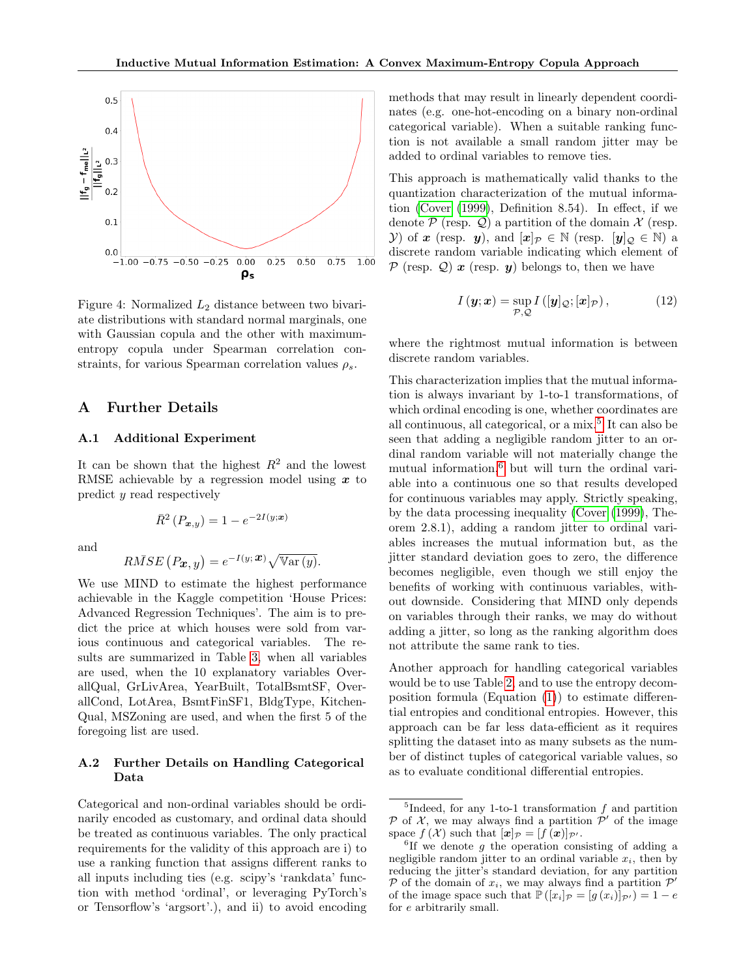

<span id="page-11-1"></span>Figure 4: Normalized  $L_2$  distance between two bivariate distributions with standard normal marginals, one with Gaussian copula and the other with maximumentropy copula under Spearman correlation constraints, for various Spearman correlation values  $\rho_s$ .

# A Further Details

### A.1 Additional Experiment

It can be shown that the highest  $R^2$  and the lowest RMSE achievable by a regression model using  $x$  to predict y read respectively

 $\bar{R}^2(P_{\bm{x},y}) = 1 - e^{-2I(y;\bm{x})}$ 

and

$$
R\bar{M}SE(P_{\boldsymbol{x},y}) = e^{-I(y;\boldsymbol{x})}\sqrt{\mathbb{V}\text{ar}(y)}.
$$

We use MIND to estimate the highest performance achievable in the Kaggle competition 'House Prices: Advanced Regression Techniques'. The aim is to predict the price at which houses were sold from various continuous and categorical variables. The results are summarized in Table [3,](#page-12-3) when all variables are used, when the 10 explanatory variables OverallQual, GrLivArea, YearBuilt, TotalBsmtSF, OverallCond, LotArea, BsmtFinSF1, BldgType, Kitchen-Qual, MSZoning are used, and when the first 5 of the foregoing list are used.

# <span id="page-11-0"></span>A.2 Further Details on Handling Categorical Data

Categorical and non-ordinal variables should be ordinarily encoded as customary, and ordinal data should be treated as continuous variables. The only practical requirements for the validity of this approach are i) to use a ranking function that assigns different ranks to all inputs including ties (e.g. scipy's 'rankdata' function with method 'ordinal', or leveraging PyTorch's or Tensorflow's 'argsort'.), and ii) to avoid encoding methods that may result in linearly dependent coordinates (e.g. one-hot-encoding on a binary non-ordinal categorical variable). When a suitable ranking function is not available a small random jitter may be added to ordinal variables to remove ties.

This approach is mathematically valid thanks to the quantization characterization of the mutual information [\(Cover](#page-9-16) [\(1999\)](#page-9-16), Definition 8.54). In effect, if we denote  $P$  (resp.  $Q$ ) a partition of the domain  $X$  (resp. *Y*) of *x* (resp. *y*), and  $[x]_p \in \mathbb{N}$  (resp.  $[y]_Q \in \mathbb{N}$ ) a discrete random variable indicating which element of  $\mathcal{P}$  (resp.  $\mathcal{Q}$ )  $\mathbf{x}$  (resp.  $\mathbf{y}$ ) belongs to, then we have

$$
I(\mathbf{y};\mathbf{x}) = \sup_{\mathcal{P},\mathcal{Q}} I([\mathbf{y}]_{\mathcal{Q}};[\mathbf{x}]_{\mathcal{P}}), \tag{12}
$$

where the rightmost mutual information is between discrete random variables.

This characterization implies that the mutual information is always invariant by 1-to-1 transformations, of which ordinal encoding is one, whether coordinates are all continuous, all categorical, or a mix.<sup>[5](#page-11-2)</sup> It can also be seen that adding a negligible random jitter to an ordinal random variable will not materially change the mutual information, $6$  but will turn the ordinal variable into a continuous one so that results developed for continuous variables may apply. Strictly speaking, by the data processing inequality [\(Cover](#page-9-16) [\(1999\)](#page-9-16), Theorem 2.8.1), adding a random jitter to ordinal variables increases the mutual information but, as the jitter standard deviation goes to zero, the difference becomes negligible, even though we still enjoy the benefits of working with continuous variables, without downside. Considering that MIND only depends on variables through their ranks, we may do without adding a jitter, so long as the ranking algorithm does not attribute the same rank to ties.

Another approach for handling categorical variables would be to use Table [2,](#page-12-0) and to use the entropy decomposition formula (Equation  $(1)$ ) to estimate differential entropies and conditional entropies. However, this approach can be far less data-efficient as it requires splitting the dataset into as many subsets as the number of distinct tuples of categorical variable values, so as to evaluate conditional differential entropies.

<span id="page-11-2"></span><sup>&</sup>lt;sup>5</sup>Indeed, for any 1-to-1 transformation  $f$  and partition P of X, we may always find a partition  $\mathcal{P}'$  of the image space  $f(\mathcal{X})$  such that  $[\mathbf{x}]_{\mathcal{P}} = [f(\mathbf{x})]_{\mathcal{P}}$ .

<span id="page-11-3"></span> ${}^{6}$ If we denote g the operation consisting of adding a negligible random jitter to an ordinal variable  $x_i$ , then by reducing the jitter's standard deviation, for any partition P of the domain of  $x_i$ , we may always find a partition  $\mathcal{P}'$ of the image space such that  $\mathbb{P}([x_i]_{\mathcal{P}} = [g(x_i)]_{\mathcal{P}}) = 1 - e$ for e arbitrarily small.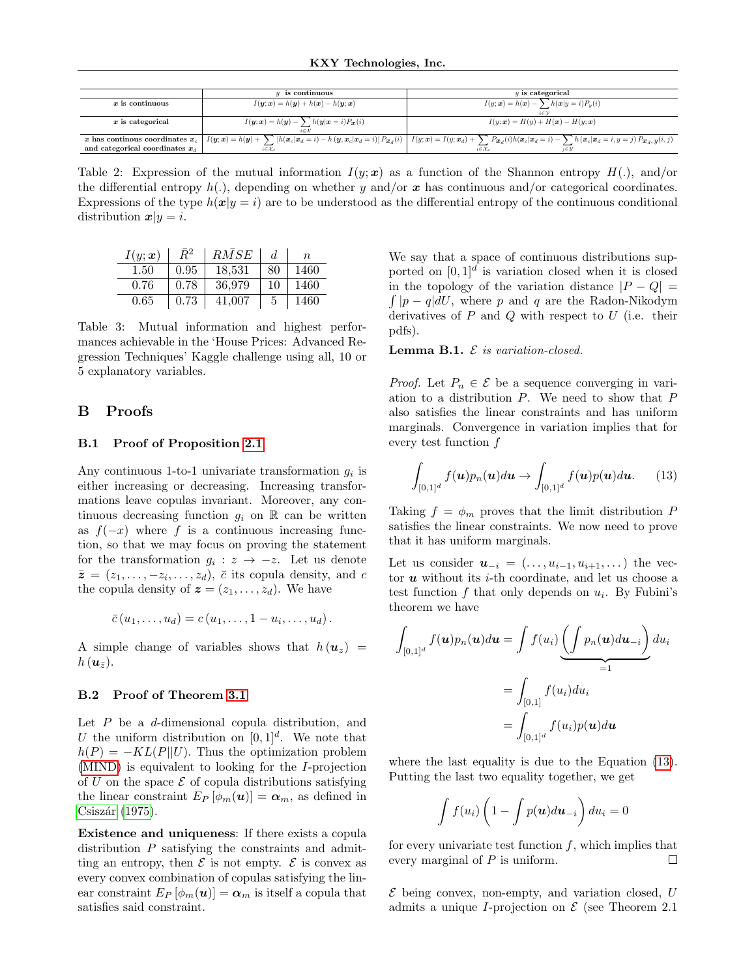|                                   | $\boldsymbol{u}$ is continuous                                                                                | $y$ is categorical                                                                                                                                                                                    |  |  |
|-----------------------------------|---------------------------------------------------------------------------------------------------------------|-------------------------------------------------------------------------------------------------------------------------------------------------------------------------------------------------------|--|--|
| $x$ is continuous                 | $I(\boldsymbol{y};\boldsymbol{x}) = h(\boldsymbol{y}) + h(\boldsymbol{x}) - h(\boldsymbol{y};\boldsymbol{x})$ | $I(y; \mathbf{x}) = h(\mathbf{x}) - \sum h(\mathbf{x} y = i)P_y(i)$                                                                                                                                   |  |  |
|                                   |                                                                                                               |                                                                                                                                                                                                       |  |  |
| $x$ is categorical                | $I(\mathbf{y};\mathbf{x}) = h(\mathbf{y}) - \sum h(\mathbf{y} \mathbf{x} = i) P_{\mathbf{x}}(i)$              | $I(y; x) = H(y) + H(x) - H(y; x)$                                                                                                                                                                     |  |  |
|                                   |                                                                                                               |                                                                                                                                                                                                       |  |  |
|                                   |                                                                                                               | x has continuous coordinates $x_c$ $I(y;x) = h(y) + \sum [h(x_c x_d = i) - h(y, x_c x_d = i)]$ $Px_d(i)$ $I(y;x) = I(y;x_d) + \sum Px_d(i)h(x_c x_d = i) - \sum h(x_c x_d = i, y = j)$ $Px_d, y(i,j)$ |  |  |
| and categorical coordinates $x_d$ | $i \in \mathcal{X}_{d}$                                                                                       | $i \in \mathcal{X}$ d                                                                                                                                                                                 |  |  |

<span id="page-12-0"></span>Table 2: Expression of the mutual information  $I(y; x)$  as a function of the Shannon entropy  $H(.)$ , and/or the differential entropy  $h(.)$ , depending on whether y and/or x has continuous and/or categorical coordinates. Expressions of the type  $h(x|y = i)$  are to be understood as the differential entropy of the continuous conditional distribution  $x|y = i$ .

| $I(y; \boldsymbol{x})$ | $\bar{R}^2$ | RMSE   | d. | $n_{\rm c}$ |
|------------------------|-------------|--------|----|-------------|
| 1.50                   | 0.95        | 18,531 | 80 | 1460        |
| 0.76                   | 0.78        | 36.979 | 10 | 1460        |
| 0.65                   | 0.73        | 41.007 | 5  | 1460        |

<span id="page-12-3"></span>Table 3: Mutual information and highest performances achievable in the 'House Prices: Advanced Regression Techniques' Kaggle challenge using all, 10 or 5 explanatory variables.

# B Proofs

### <span id="page-12-1"></span>B.1 Proof of Proposition [2.1](#page-2-2)

Any continuous 1-to-1 univariate transformation  $g_i$  is either increasing or decreasing. Increasing transformations leave copulas invariant. Moreover, any continuous decreasing function  $g_i$  on  $\mathbb R$  can be written as  $f(-x)$  where f is a continuous increasing function, so that we may focus on proving the statement for the transformation  $g_i : z \to -z$ . Let us denote  $\bar{z} = (z_1, \ldots, -z_i, \ldots, z_d), \bar{c}$  its copula density, and c the copula density of  $z = (z_1, \ldots, z_d)$ . We have

$$
\bar{c}(u_1,\ldots,u_d)=c(u_1,\ldots,1-u_i,\ldots,u_d).
$$

A simple change of variables shows that  $h(\mathbf{u}_z)$  =  $h(\mathbf{u}_{\bar{z}}).$ 

#### <span id="page-12-2"></span>B.2 Proof of Theorem [3.1](#page-3-2)

Let  $P$  be a  $d$ -dimensional copula distribution, and U the uniform distribution on  $[0, 1]^d$ . We note that  $h(P) = -KL(P||U)$ . Thus the optimization problem [\(MIND\)](#page-3-1) is equivalent to looking for the I-projection of U on the space  $\mathcal E$  of copula distributions satisfying the linear constraint  $E_P[\phi_m(\boldsymbol{u})] = \boldsymbol{\alpha}_m$ , as defined in  $Csiszár$  [\(1975\)](#page-9-13).

Existence and uniqueness: If there exists a copula distribution P satisfying the constraints and admitting an entropy, then  $\mathcal E$  is not empty.  $\mathcal E$  is convex as every convex combination of copulas satisfying the linear constraint  $E_P [\phi_m(\boldsymbol{u})] = \boldsymbol{\alpha}_m$  is itself a copula that satisfies said constraint.

We say that a space of continuous distributions supported on  $[0,1]^d$  is variation closed when it is closed in the topology of the variation distance  $|P - Q|$  =  $\int |p - q| dU$ , where p and q are the Radon-Nikodym derivatives of  $P$  and  $Q$  with respect to  $U$  (i.e. their pdfs).

**Lemma B.1.**  $\mathcal{E}$  is variation-closed.

*Proof.* Let  $P_n \in \mathcal{E}$  be a sequence converging in variation to a distribution  $P$ . We need to show that  $P$ also satisfies the linear constraints and has uniform marginals. Convergence in variation implies that for every test function f

<span id="page-12-4"></span>
$$
\int_{[0,1]^d} f(u)p_n(u)du \to \int_{[0,1]^d} f(u)p(u)du. \qquad (13)
$$

Taking  $f = \phi_m$  proves that the limit distribution P satisfies the linear constraints. We now need to prove that it has uniform marginals.

Let us consider  $u_{-i} = (..., u_{i-1}, u_{i+1}, ...)$  the vector  $u$  without its  $i$ -th coordinate, and let us choose a test function  $f$  that only depends on  $u_i$ . By Fubini's theorem we have

$$
\int_{[0,1]^d} f(\mathbf{u}) p_n(\mathbf{u}) d\mathbf{u} = \int f(u_i) \underbrace{\left(\int p_n(\mathbf{u}) d\mathbf{u}_{-i}\right)}_{=1} du_i
$$
\n
$$
= \int_{[0,1]^d} f(u_i) du_i
$$
\n
$$
= \int_{[0,1]^d} f(u_i) p(\mathbf{u}) d\mathbf{u}
$$

where the last equality is due to the Equation [\(13\)](#page-12-4). Putting the last two equality together, we get

$$
\int f(u_i)\left(1-\int p(\boldsymbol{u})d\boldsymbol{u}_{-i}\right)du_i=0
$$

for every univariate test function  $f$ , which implies that every marginal of P is uniform. П

 $\mathcal E$  being convex, non-empty, and variation closed, U admits a unique *I*-projection on  $\mathcal E$  (see Theorem 2.1)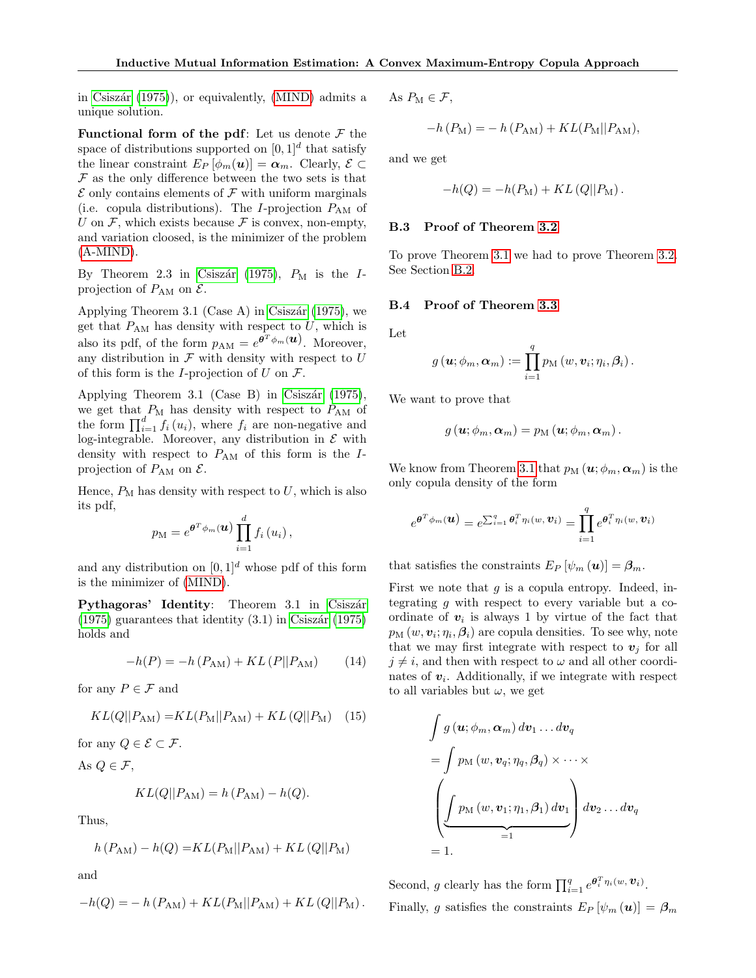in Csiszár  $(1975)$ , or equivalently, [\(MIND\)](#page-3-1) admits a unique solution.

Functional form of the pdf: Let us denote  $\mathcal F$  the space of distributions supported on  $[0,1]^d$  that satisfy the linear constraint  $E_P [\phi_m(\boldsymbol{u})] = \boldsymbol{\alpha}_m$ . Clearly,  $\mathcal{E} \subset$  $\mathcal F$  as the only difference between the two sets is that  $\mathcal E$  only contains elements of  $\mathcal F$  with uniform marginals (i.e. copula distributions). The *I*-projection  $P_{AM}$  of U on  $\mathcal F$ , which exists because  $\mathcal F$  is convex, non-empty, and variation cloosed, is the minimizer of the problem [\(A-MIND\)](#page-3-3).

By Theorem 2.3 in Csiszár [\(1975\)](#page-9-13),  $P_M$  is the Iprojection of  $P_{AM}$  on  $\mathcal{E}$ .

Applying Theorem 3.1 (Case A) in Csiszár [\(1975\)](#page-9-13), we get that  $P_{AM}$  has density with respect to  $U$ , which is also its pdf, of the form  $p_{AM} = e^{\theta^T \phi_m(\boldsymbol{u})}$ . Moreover, any distribution in  $\mathcal F$  with density with respect to  $U$ of this form is the *I*-projection of  $U$  on  $\mathcal{F}$ .

Applying Theorem 3.1 (Case B) in Csiszár  $(1975)$ , we get that  $P_{\rm M}$  has density with respect to  $P_{\rm AM}$  of the form  $\prod_{i=1}^d f_i(u_i)$ , where  $f_i$  are non-negative and log-integrable. Moreover, any distribution in  $\mathcal E$  with density with respect to  $P_{AM}$  of this form is the Iprojection of  $P_{AM}$  on  $\mathcal{E}$ .

Hence,  $P_M$  has density with respect to  $U$ , which is also its pdf,

$$
p_{\mathrm{M}} = e^{\boldsymbol{\theta}^{T} \phi_{m}(\boldsymbol{u})} \prod_{i=1}^{d} f_{i} \left( u_{i} \right),
$$

and any distribution on  $[0, 1]^d$  whose pdf of this form is the minimizer of [\(MIND\)](#page-3-1).

Pythagoras' Identity: Theorem 3.1 in Csiszár  $(1975)$  guarantees that identity  $(3.1)$  in Csiszár (1975) holds and

$$
-h(P) = -h(P_{AM}) + KL(P||P_{AM}) \qquad (14)
$$

for any  $P \in \mathcal{F}$  and

$$
KL(Q||P_{AM}) = KL(P_M||P_{AM}) + KL(Q||P_M) \quad (15)
$$

for any  $Q \in \mathcal{E} \subset \mathcal{F}$ .

As  $Q \in \mathcal{F}$ ,

$$
KL(Q||P_{AM}) = h(P_{AM}) - h(Q).
$$

Thus,

$$
h(P_{AM}) - h(Q) = KL(P_M||P_{AM}) + KL(Q||P_M)
$$

and

$$
-h(Q) = - h(P_{AM}) + KL(P_M||P_{AM}) + KL(Q||P_M).
$$

As  $P_M \in \mathcal{F}$ ,

$$
-h(P_{\rm M}) = -h(P_{\rm AM}) + KL(P_{\rm M}||P_{\rm AM}),
$$

and we get

$$
-h(Q) = -h(P_M) + KL(Q||P_M).
$$

#### <span id="page-13-0"></span>B.3 Proof of Theorem [3.2](#page-4-4)

To prove Theorem [3.1](#page-3-2) we had to prove Theorem [3.2.](#page-4-4) See Section [B.2.](#page-12-2)

#### <span id="page-13-1"></span>B.4 Proof of Theorem [3.3](#page-4-2)

Let

$$
g\left(\boldsymbol{u};\phi_m,\boldsymbol{\alpha}_m\right):=\prod_{i=1}^q p_\mathrm{M}\left(w,\boldsymbol{v}_i;\eta_i,\boldsymbol{\beta}_i\right).
$$

We want to prove that

$$
g\left(\boldsymbol{u};\phi_{m},\boldsymbol{\alpha}_{m}\right)=p_{\text{M}}\left(\boldsymbol{u};\phi_{m},\boldsymbol{\alpha}_{m}\right).
$$

We know from Theorem [3.1](#page-3-2) that  $p_M (\boldsymbol{u}; \phi_m, \boldsymbol{\alpha}_m)$  is the only copula density of the form

$$
e^{\boldsymbol{\theta}^T \phi_m(\boldsymbol{u})} = e^{\sum_{i=1}^q \boldsymbol{\theta}_i^T \eta_i(w, \boldsymbol{v}_i)} = \prod_{i=1}^q e^{\boldsymbol{\theta}_i^T \eta_i(w, \boldsymbol{v}_i)}
$$

that satisfies the constraints  $E_P [\psi_m (\boldsymbol{u})] = \beta_m$ .

First we note that  $g$  is a copula entropy. Indeed, integrating  $q$  with respect to every variable but a coordinate of  $v_i$  is always 1 by virtue of the fact that  $p_M(w, \boldsymbol{v}_i; \eta_i, \boldsymbol{\beta}_i)$  are copula densities. To see why, note that we may first integrate with respect to  $v_j$  for all  $j \neq i$ , and then with respect to  $\omega$  and all other coordinates of  $v_i$ . Additionally, if we integrate with respect to all variables but  $\omega$ , we get

$$
\int g(\mathbf{u}; \phi_m, \alpha_m) d\mathbf{v}_1 \dots d\mathbf{v}_q
$$
  
= 
$$
\int p_M(w, \mathbf{v}_q; \eta_q, \beta_q) \times \dots \times
$$
  

$$
\left( \underbrace{\int p_M(w, \mathbf{v}_1; \eta_1, \beta_1) d\mathbf{v}_1}_{=1} \right) d\mathbf{v}_2 \dots d\mathbf{v}_q
$$
  
= 1.

Second, g clearly has the form  $\prod_{i=1}^q e^{\theta_i^T \eta_i(w, \mathbf{v}_i)}$ . Finally, g satisfies the constraints  $E_P \left[ \psi_m \left( \mathbf{u} \right) \right] = \beta_m$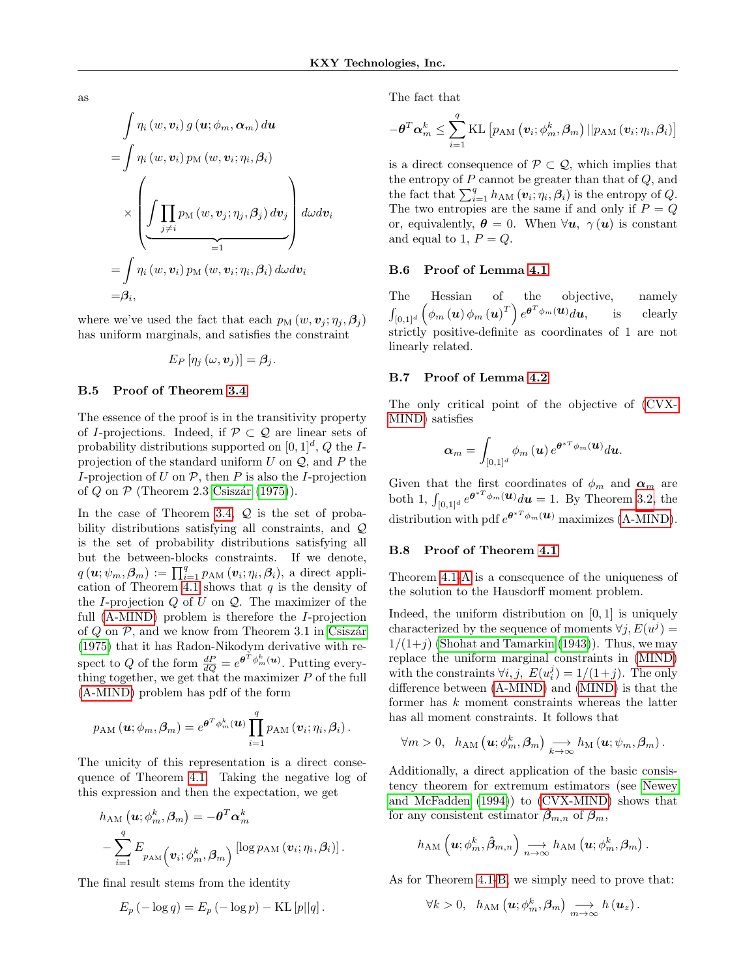as

$$
\int \eta_i (w, v_i) g(u; \phi_m, \alpha_m) du
$$
  
= 
$$
\int \eta_i (w, v_i) p_M (w, v_i; \eta_i, \beta_i)
$$
  

$$
\times \left( \underbrace{\int \prod_{j \neq i} p_M (w, v_j; \eta_j, \beta_j) dv_j}_{=1} \right) d\omega dv_i
$$
  
= 
$$
\int \eta_i (w, v_i) p_M (w, v_i; \eta_i, \beta_i) d\omega dv_i
$$
  
= 
$$
\beta_i,
$$

where we've used the fact that each  $p_M(w, v_i; \eta_i, \beta_i)$ has uniform marginals, and satisfies the constraint

$$
E_P\left[\eta_j\left(\omega,\boldsymbol{v}_j\right)\right]=\boldsymbol{\beta}_j.
$$

#### <span id="page-14-0"></span>B.5 Proof of Theorem [3.4](#page-4-3)

The essence of the proof is in the transitivity property of I-projections. Indeed, if  $\mathcal{P} \subset \mathcal{Q}$  are linear sets of probability distributions supported on  $[0,1]^d$ , Q the Iprojection of the standard uniform  $U$  on  $\mathcal{Q}$ , and  $P$  the I-projection of U on  $P$ , then P is also the I-projection of Q on  $\mathcal P$  (Theorem 2.3 Csiszár [\(1975\)](#page-9-13)).

In the case of Theorem [3.4,](#page-4-3)  $Q$  is the set of probability distributions satisfying all constraints, and Q is the set of probability distributions satisfying all but the between-blocks constraints. If we denote,  $q(\boldsymbol{u}; \psi_m, \boldsymbol{\beta}_m) := \prod_{i=1}^q p_{\text{AM}}(\boldsymbol{v}_i; \eta_i, \boldsymbol{\beta}_i)$ , a direct appli-cation of Theorem [4.1](#page-5-1) shows that  $q$  is the density of the *I*-projection  $Q$  of  $U$  on  $Q$ . The maximizer of the full [\(A-MIND\)](#page-3-3) problem is therefore the I-projection of  $Q$  on  $P$ , and we know from Theorem 3.1 in Csiszár [\(1975\)](#page-9-13) that it has Radon-Nikodym derivative with respect to Q of the form  $\frac{dP}{dQ} = e^{\theta^T \phi_m^k(\boldsymbol{u})}$ . Putting everything together, we get that the maximizer  $P$  of the full [\(A-MIND\)](#page-3-3) problem has pdf of the form

$$
p_{\text{AM}}\left(\boldsymbol{u};\phi_{m},\boldsymbol{\beta}_{m}\right)=e^{\boldsymbol{\theta}^{T}\phi_{m}^{k}(\boldsymbol{u})}\prod_{i=1}^{q}p_{\text{AM}}\left(\boldsymbol{v}_{i};\eta_{i},\boldsymbol{\beta}_{i}\right).
$$

The unicity of this representation is a direct consequence of Theorem [4.1.](#page-5-1) Taking the negative log of this expression and then the expectation, we get

$$
h_{\text{AM}}\left(\boldsymbol{u};\phi_m^k,\boldsymbol{\beta}_m\right) = -\boldsymbol{\theta}^T\boldsymbol{\alpha}_m^k
$$

$$
-\sum_{i=1}^q E_{p_{\text{AM}}}\left(\boldsymbol{v}_i;\phi_m^k,\boldsymbol{\beta}_m\right) \left[\log p_{\text{AM}}\left(\boldsymbol{v}_i;\eta_i,\boldsymbol{\beta}_i\right)\right].
$$

The final result stems from the identity

$$
E_p(-\log q) = E_p(-\log p) - \text{KL}[p||q].
$$

The fact that

$$
-\boldsymbol{\theta}^{T} \boldsymbol{\alpha}^{k}_{m} \leq \sum_{i=1}^{q} \operatorname{KL}\left[p_{\mathrm{AM}}\left(\boldsymbol{v}_{i}; \phi^{k}_{m}, \boldsymbol{\beta}_{m}\right) || p_{\mathrm{AM}}\left(\boldsymbol{v}_{i} ; \eta_{i}, \boldsymbol{\beta}_{i}\right)\right]
$$

is a direct consequence of  $P \subset \mathcal{Q}$ , which implies that the entropy of  $P$  cannot be greater than that of  $Q$ , and the fact that  $\sum_{i=1}^{q} h_{AM}(\boldsymbol{v}_i;\eta_i,\boldsymbol{\beta}_i)$  is the entropy of Q. The two entropies are the same if and only if  $P = Q$ or, equivalently,  $\theta = 0$ . When  $\forall u, \gamma(u)$  is constant and equal to 1,  $P = Q$ .

### <span id="page-14-1"></span>B.6 Proof of Lemma [4.1](#page-5-3)

The Hessian of the objective, namely  $\int_{[0,1]^d} \left( \phi_m \left( \boldsymbol{u} \right) \phi_m \left( \boldsymbol{u} \right)^T \right) e^{\boldsymbol{\theta}^T \phi_m \left( \boldsymbol{u} \right)} d \boldsymbol{u}, \qquad \text{is} \qquad \text{clearly}$ strictly positive-definite as coordinates of 1 are not linearly related.

#### <span id="page-14-2"></span>B.7 Proof of Lemma [4.2](#page-5-4)

The only critical point of the objective of [\(CVX-](#page-5-2)[MIND\)](#page-5-2) satisfies

$$
\boldsymbol{\alpha}_m=\int_{[0,1]^d} \phi_m\left(\boldsymbol{u}\right) e^{\boldsymbol{\theta}^{*T}\phi_m(\boldsymbol{u})}d\boldsymbol{u}.
$$

Given that the first coordinates of  $\phi_m$  and  $\alpha_m$  are both 1,  $\int_{[0,1]^d} e^{\theta^{*T}\phi_m(u)} du = 1$ . By Theorem [3.2,](#page-4-4) the distribution with pdf  $e^{\theta^{*T}\phi_m(\boldsymbol{u})}$  maximizes [\(A-MIND\)](#page-3-3).

#### <span id="page-14-3"></span>B.8 Proof of Theorem [4.1](#page-5-1)

Theorem [4.1-](#page-5-1)[A](#page-5-6) is a consequence of the uniqueness of the solution to the Hausdorff moment problem.

Indeed, the uniform distribution on [0, 1] is uniquely characterized by the sequence of moments  $\forall j, E(u^j) =$  $1/(1+j)$  [\(Shohat and Tamarkin](#page-10-11) [\(1943\)](#page-10-11)). Thus, we may replace the uniform marginal constraints in [\(MIND\)](#page-3-1) with the constraints  $\forall i, j, E(u_i^j) = 1/(1+j)$ . The only difference between [\(A-MIND\)](#page-3-3) and [\(MIND\)](#page-3-1) is that the former has k moment constraints whereas the latter has all moment constraints. It follows that

$$
\forall m>0, \ \ h_{\text{AM}}\left(\boldsymbol{u};\phi_m^k,\boldsymbol{\beta}_m\right) \underset{k\to\infty}{\longrightarrow} h_{\text{M}}\left(\boldsymbol{u};\psi_m,\boldsymbol{\beta}_m\right).
$$

Additionally, a direct application of the basic consistency theorem for extremum estimators (see [Newey](#page-9-21) [and McFadden](#page-9-21) [\(1994\)](#page-9-21)) to [\(CVX-MIND\)](#page-5-2) shows that for any consistent estimator  $\hat{\beta}_{m,n}$  of  $\beta_m$ ,

$$
h_{\mathrm{AM}}\left(\boldsymbol{u}; \phi_{m}^{k}, \hat{\boldsymbol{\beta}}_{m,n}\right) \underset{n \rightarrow \infty}{\longrightarrow} h_{\mathrm{AM}}\left(\boldsymbol{u}; \phi_{m}^{k}, \boldsymbol{\beta}_{m}\right).
$$

As for Theorem [4.1-](#page-5-1)[B,](#page-5-7) we simply need to prove that:

$$
\forall k > 0, \hspace{2mm} h_{\text{AM}}\left(\boldsymbol{u}; \phi_m^k, \boldsymbol{\beta}_m\right) \underset{m \rightarrow \infty}{\longrightarrow} h\left(\boldsymbol{u}_z\right).
$$